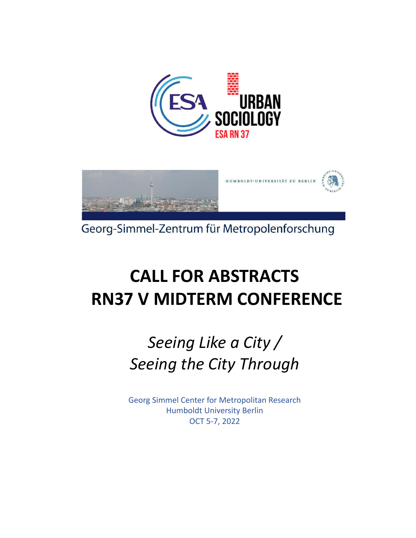



Georg-Simmel-Zentrum für Metropolenforschung

# **CALL FOR ABSTRACTS RN37 V MIDTERM CONFERENCE**

# *Seeing Like a City / Seeing the City Through*

Georg Simmel Center for Metropolitan Research Humboldt University Berlin OCT 5-7, 2022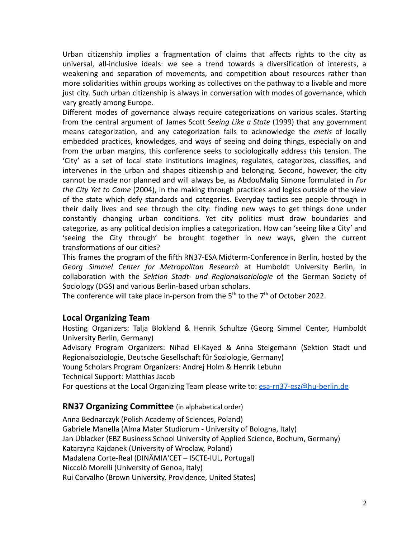Urban citizenship implies a fragmentation of claims that affects rights to the city as universal, all-inclusive ideals: we see a trend towards a diversification of interests, a weakening and separation of movements, and competition about resources rather than more solidarities within groups working as collectives on the pathway to a livable and more just city. Such urban citizenship is always in conversation with modes of governance, which vary greatly among Europe.

Different modes of governance always require categorizations on various scales. Starting from the central argument of James Scott *Seeing Like a State* (1999) that any government means categorization, and any categorization fails to acknowledge the *metis* of locally embedded practices, knowledges, and ways of seeing and doing things, especially on and from the urban margins, this conference seeks to sociologically address this tension. The 'City' as a set of local state institutions imagines, regulates, categorizes, classifies, and intervenes in the urban and shapes citizenship and belonging. Second, however, the city cannot be made nor planned and will always be, as AbdouMaliq Simone formulated in *For the City Yet to Come* (2004), in the making through practices and logics outside of the view of the state which defy standards and categories. Everyday tactics see people through in their daily lives and see through the city: finding new ways to get things done under constantly changing urban conditions. Yet city politics must draw boundaries and categorize, as any political decision implies a categorization. How can 'seeing like a City' and 'seeing the City through' be brought together in new ways, given the current transformations of our cities?

This frames the program of the fifth RN37-ESA Midterm-Conference in Berlin, hosted by the *Georg Simmel Center for Metropolitan Research* at Humboldt University Berlin, in collaboration with the *Sektion Stadt- und Regionalsoziologie* of the German Society of Sociology (DGS) and various Berlin-based urban scholars.

The conference will take place in-person from the  $5<sup>th</sup>$  to the  $7<sup>th</sup>$  of October 2022.

# **Local Organizing Team**

Hosting Organizers: Talja Blokland & Henrik Schultze (Georg Simmel Center, Humboldt University Berlin, Germany)

Advisory Program Organizers: Nihad El-Kayed & Anna Steigemann (Sektion Stadt und Regionalsoziologie, Deutsche Gesellschaft für Soziologie, Germany)

Young Scholars Program Organizers: Andrej Holm & Henrik Lebuhn

Technical Support: Matthias Jacob

For questions at the Local Organizing Team please write to: [esa-rn37-gsz@hu-berlin.de](mailto:esa-rn37-gsz@hu-berlin.de)

# **RN37 Organizing Committee** (in alphabetical order)

Anna Bednarczyk (Polish Academy of Sciences, Poland) Gabriele Manella (Alma Mater Studiorum - University of Bologna, Italy) Jan Üblacker (EBZ Business School University of Applied Science, Bochum, Germany) Katarzyna Kajdanek (University of Wroclaw, Poland) Madalena Corte-Real (DINÂMIA'CET – ISCTE-IUL, Portugal) Niccolò Morelli (University of Genoa, Italy) Rui Carvalho (Brown University, Providence, United States)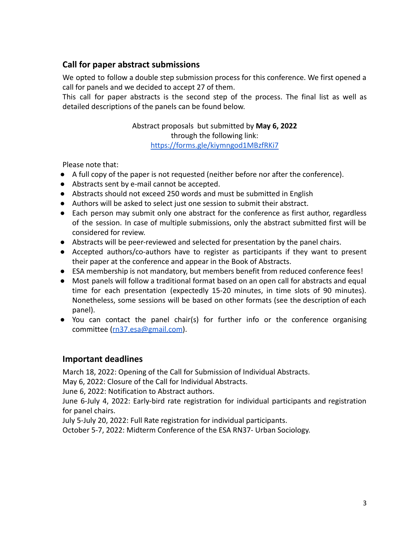# **Call for paper abstract submissions**

We opted to follow a double step submission process for this conference. We first opened a call for panels and we decided to accept 27 of them.

This call for paper abstracts is the second step of the process. The final list as well as detailed descriptions of the panels can be found below.

# Abstract proposals but submitted by **May 6, 2022** through the following link: <https://forms.gle/kiymngod1MBzfRKi7>

Please note that:

- A full copy of the paper is not requested (neither before nor after the conference).
- Abstracts sent by e-mail cannot be accepted.
- Abstracts should not exceed 250 words and must be submitted in English
- Authors will be asked to select just one session to submit their abstract.
- Each person may submit only one abstract for the conference as first author, regardless of the session. In case of multiple submissions, only the abstract submitted first will be considered for review.
- Abstracts will be peer-reviewed and selected for presentation by the panel chairs.
- Accepted authors/co-authors have to register as participants if they want to present their paper at the conference and appear in the Book of Abstracts.
- ESA membership is not mandatory, but members benefit from reduced conference fees!
- Most panels will follow a traditional format based on an open call for abstracts and equal time for each presentation (expectedly 15-20 minutes, in time slots of 90 minutes). Nonetheless, some sessions will be based on other formats (see the description of each panel).
- You can contact the panel chair(s) for further info or the conference organising committee ([rn37.esa@gmail.com\)](mailto:rn37.esa@gmail.com).

# **Important deadlines**

March 18, 2022: Opening of the Call for Submission of Individual Abstracts.

May 6, 2022: Closure of the Call for Individual Abstracts.

June 6, 2022: Notification to Abstract authors.

June 6-July 4, 2022: Early-bird rate registration for individual participants and registration for panel chairs.

July 5-July 20, 2022: Full Rate registration for individual participants.

October 5-7, 2022: Midterm Conference of the ESA RN37- Urban Sociology.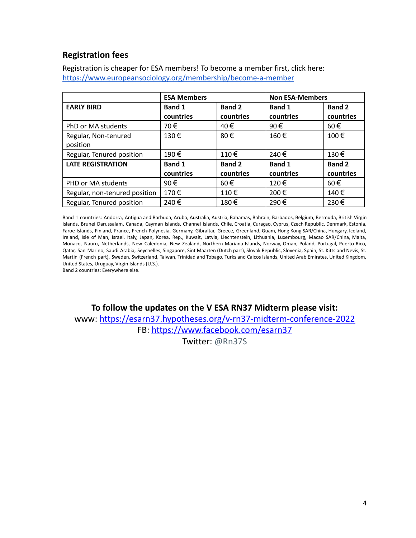# **Registration fees**

Registration is cheaper for ESA members! To become a member first, click here: <https://www.europeansociology.org/membership/become-a-member>

|                               | <b>ESA Members</b> |               | <b>Non ESA-Members</b> |               |
|-------------------------------|--------------------|---------------|------------------------|---------------|
| <b>EARLY BIRD</b>             | <b>Band 1</b>      | <b>Band 2</b> | <b>Band 1</b>          | <b>Band 2</b> |
|                               | countries          | countries     | countries              | countries     |
| PhD or MA students            | 70€                | 40€           | 90€                    | $60 \in$      |
| Regular, Non-tenured          | 130€               | 80€           | 160€                   | 100€          |
| position                      |                    |               |                        |               |
| Regular, Tenured position     | 190€               | $110 \in$     | 240€                   | 130€          |
| <b>LATE REGISTRATION</b>      | <b>Band 1</b>      | <b>Band 2</b> | <b>Band 1</b>          | <b>Band 2</b> |
|                               | countries          | countries     | countries              | countries     |
| PHD or MA students            | 90€                | $60 \in$      | $120 \in$              | $60 \in$      |
| Regular, non-tenured position | 170€               | $110 \in$     | 200€                   | 140€          |
| Regular, Tenured position     | 240€               | 180€          | 290€                   | 230€          |

Band 1 countries: Andorra, Antigua and Barbuda, Aruba, Australia, Austria, Bahamas, Bahrain, Barbados, Belgium, Bermuda, British Virgin Islands, Brunei Darussalam, Canada, Cayman Islands, Channel Islands, Chile, Croatia, Curaçao, Cyprus, Czech Republic, Denmark, Estonia, Faroe Islands, Finland, France, French Polynesia, Germany, Gibraltar, Greece, Greenland, Guam, Hong Kong SAR/China, Hungary, Iceland, Ireland, Isle of Man, Israel, Italy, Japan, Korea, Rep., Kuwait, Latvia, Liechtenstein, Lithuania, Luxembourg, Macao SAR/China, Malta, Monaco, Nauru, Netherlands, New Caledonia, New Zealand, Northern Mariana Islands, Norway, Oman, Poland, Portugal, Puerto Rico, Qatar, San Marino, Saudi Arabia, Seychelles, Singapore, Sint Maarten (Dutch part), Slovak Republic, Slovenia, Spain, St. Kitts and Nevis, St. Martin (French part), Sweden, Switzerland, Taiwan, Trinidad and Tobago, Turks and Caicos Islands, United Arab Emirates, United Kingdom, United States, Uruguay, Virgin Islands (U.S.).

Band 2 countries: Everywhere else.

**To follow the updates on the V ESA RN37 Midterm please visit:** www: [https://esarn37.hypotheses.org/v-rn37-midterm-conference-2022](https://eur01.safelinks.protection.outlook.com/?url=https%3A%2F%2Fesarn37.hypotheses.org%2Fv-rn37-midterm-conference-2022&data=04%7C01%7Cmadalena.cortereal%40iscte-iul.pt%7C7f52c23a589f49e83a9108d9d01d21f6%7C6230e860bfc54095a6bc104721add6e6%7C0%7C0%7C637769646880518270%7CUnknown%7CTWFpbGZsb3d8eyJWIjoiMC4wLjAwMDAiLCJQIjoiV2luMzIiLCJBTiI6Ik1haWwiLCJXVCI6Mn0%3D%7C2000&sdata=1yEalAPdQo%2Fxx%2BIrrXUkf1YLNyfw8dD9B%2FS4ODqS%2FRs%3D&reserved=0) FB: [https://www.facebook.com/esarn37](https://eur01.safelinks.protection.outlook.com/?url=https%3A%2F%2Fwww.facebook.com%2Fesarn37&data=04%7C01%7Cmadalena.cortereal%40iscte-iul.pt%7C7f52c23a589f49e83a9108d9d01d21f6%7C6230e860bfc54095a6bc104721add6e6%7C0%7C0%7C637769646880518270%7CUnknown%7CTWFpbGZsb3d8eyJWIjoiMC4wLjAwMDAiLCJQIjoiV2luMzIiLCJBTiI6Ik1haWwiLCJXVCI6Mn0%3D%7C2000&sdata=uifjZ4jkragPm8hZIuB0QJCjU71h0th7Q0m0eFSgUgM%3D&reserved=0)

Twitter: @Rn37S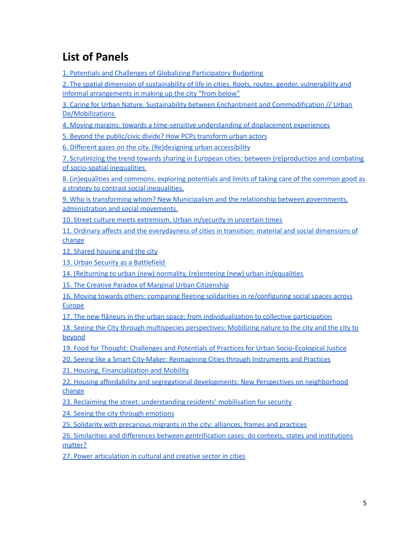# **List of Panels**

1. Potentials and Challenges of Globalizing Participatory Budgeting

2. The spatial dimension of [sustainability](#page-7-0) of life in cities. Roots, routes, gender, vulnerability and informal [arrangements](#page-7-0) in making up the city "from below"

3. Caring for Urban Nature. Sustainability between Enchantment and [Commodification](#page-9-0) // Urban [De/Mobilizations](#page-9-0)

4. Moving margins: towards a time-sensitive [understanding](#page-11-0) of displacement experiences

5. Beyond the [public/civic](#page-13-0) divide? How PCPs transform urban actors

6. Different gazes on the city. [\(Re\)designing](#page-15-0) urban accessibility

7. Scrutinizing the trend towards sharing in European cities: between [\(re\)production](#page-17-0) and combating of [socio-spatial](#page-17-0) inequalities

[8.](#page-18-0) [\(in\)equalities](https://docs.google.com/document/d/17QyCI6rm2saXPedc3hZWIzCBSZSyF2Pp/edit#heading=h.vnuy38medwaz) and commons. exploring potentials and limits of taking care of the common good as a strategy to contrast social [inequalities.](https://docs.google.com/document/d/17QyCI6rm2saXPedc3hZWIzCBSZSyF2Pp/edit#heading=h.vnuy38medwaz)

9. Who is transforming whom? New Municipalism and the relationship between [governments,](#page-21-0) [administration](#page-21-0) and social movements.

10. Street culture meets [extremism.](#page-23-0) Urban in/security in uncertain times

11. Ordinary affects and the everydayness of cities in transition: material and social dimensions of change

12. Shared [housing](#page-27-0) and the city

13. Urban Security as a [Battlefield](#page-29-0)

14. (Re)turning to urban (new) normality, (re)entering (new) urban [in/equalities](#page-31-0)

15. The Creative Paradox of Marginal Urban [Citizenship](#page-33-0)

16. Moving towards others: comparing fleeting solidarities in [re/configuring](#page-35-0) social spaces across [Europe](#page-35-0)

17. The new flâneurs in the urban space: from [individualization](#page-37-0) to collective participation

18. Seeing the City through multispecies [perspectives:](#page-39-0) Mobilizing nature to the city and the city to [beyond](#page-39-0)

19. Food for Thought: Challenges and Potentials of Practices for Urban [Socio-Ecological](#page-41-0) Justice

20. Seeing like a Smart City-Maker: [Reimagining](#page-43-0) Cities through Instruments and Practices

21. Housing, [Financialization](#page-45-0) and Mobility

22. Housing affordability and segregational [developments:](#page-47-0) New Perspectives on neighborhood [change](#page-47-0)

23. Reclaiming the street: [understanding](#page-49-0) residents' mobilisation for security

24. Seeing the city through [emotions](#page-51-0)

25. Solidarity with [precarious](#page-53-0) migrants in the city: alliances, frames and practices

26. Similarities and differences between [gentrification](#page-55-0) cases: do contexts, states and institutions [matter?](#page-55-0)

27. Power [articulation](#page-57-0) in cultural and creative sector in cities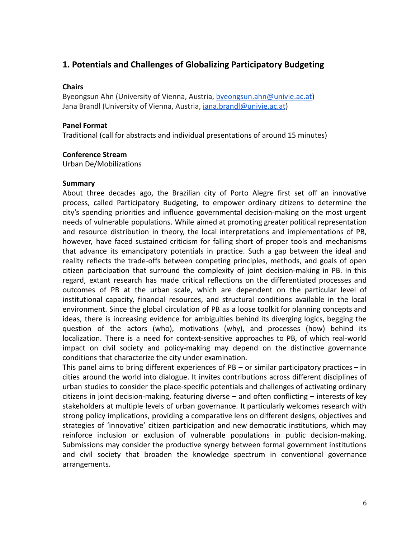# **1. Potentials and Challenges of Globalizing Participatory Budgeting**

## **Chairs**

Byeongsun Ahn (University of Vienna, Austria, [byeongsun.ahn@univie.ac.at](mailto:byeongsun.ahn@univie.ac.at)) Jana Brandl (University of Vienna, Austria, [jana.brandl@univie.ac.at](mailto:jana.brandl@univie.ac.at))

## **Panel Format**

Traditional (call for abstracts and individual presentations of around 15 minutes)

#### **Conference Stream**

Urban De/Mobilizations

#### **Summary**

About three decades ago, the Brazilian city of Porto Alegre first set off an innovative process, called Participatory Budgeting, to empower ordinary citizens to determine the city's spending priorities and influence governmental decision-making on the most urgent needs of vulnerable populations. While aimed at promoting greater political representation and resource distribution in theory, the local interpretations and implementations of PB, however, have faced sustained criticism for falling short of proper tools and mechanisms that advance its emancipatory potentials in practice. Such a gap between the ideal and reality reflects the trade-offs between competing principles, methods, and goals of open citizen participation that surround the complexity of joint decision-making in PB. In this regard, extant research has made critical reflections on the differentiated processes and outcomes of PB at the urban scale, which are dependent on the particular level of institutional capacity, financial resources, and structural conditions available in the local environment. Since the global circulation of PB as a loose toolkit for planning concepts and ideas, there is increasing evidence for ambiguities behind its diverging logics, begging the question of the actors (who), motivations (why), and processes (how) behind its localization. There is a need for context-sensitive approaches to PB, of which real-world impact on civil society and policy-making may depend on the distinctive governance conditions that characterize the city under examination.

This panel aims to bring different experiences of  $PB - or$  similar participatory practices  $-$  in cities around the world into dialogue. It invites contributions across different disciplines of urban studies to consider the place-specific potentials and challenges of activating ordinary citizens in joint decision-making, featuring diverse – and often conflicting – interests of key stakeholders at multiple levels of urban governance. It particularly welcomes research with strong policy implications, providing a comparative lens on different designs, objectives and strategies of 'innovative' citizen participation and new democratic institutions, which may reinforce inclusion or exclusion of vulnerable populations in public decision-making. Submissions may consider the productive synergy between formal government institutions and civil society that broaden the knowledge spectrum in conventional governance arrangements.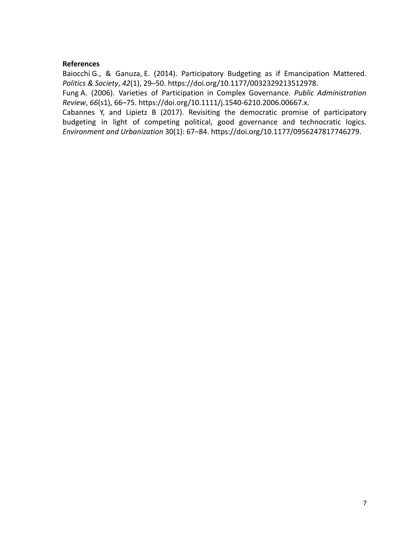Baiocchi G., & Ganuza, E. (2014). Participatory Budgeting as if Emancipation Mattered. *Politics & Society*, *42*(1), 29–50. [https://doi.org/10.1177/0032329213512978.](https://doi.org/10.1177/0032329213512978)

Fung A. (2006). Varieties of Participation in Complex Governance. *Public Administration Review*, *66*(s1), 66–75. <https://doi.org/10.1111/j.1540-6210.2006.00667.x>.

Cabannes Y, and Lipietz B (2017). Revisiting the democratic promise of participatory budgeting in light of competing political, good governance and technocratic logics. *Environment and Urbanization* 30(1): 67–84. <https://doi.org/10.1177/0956247817746279>.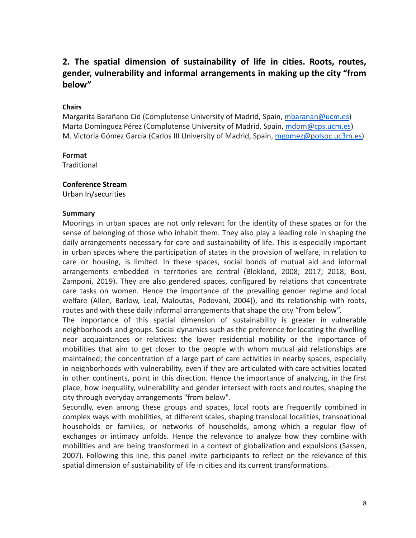# <span id="page-7-0"></span>**2. The spatial dimension of sustainability of life in cities. Roots, routes, gender, vulnerability and informal arrangements in making up the city "from below"**

#### **Chairs**

Margarita Barañano Cid (Complutense University of Madrid, Spain, [mbaranan@ucm.es\)](mailto:mbaranan@ucm.es) Marta Domínguez Pérez (Complutense University of Madrid, Spain, [mdom@cps.ucm.es\)](mailto:mdom@cps.ucm.es) M. Victoria Gómez García (Carlos III University of Madrid, Spain, [mgomez@polsoc.uc3m.es\)](mailto:mgomez@polsoc.uc3m.es)

#### **Format**

**Traditional** 

#### **Conference Stream**

Urban In/securities

#### **Summary**

Moorings in urban spaces are not only relevant for the identity of these spaces or for the sense of belonging of those who inhabit them. They also play a leading role in shaping the daily arrangements necessary for care and sustainability of life. This is especially important in urban spaces where the participation of states in the provision of welfare, in relation to care or housing, is limited. In these spaces, social bonds of mutual aid and informal arrangements embedded in territories are central (Blokland, 2008; 2017; 2018; Bosi, Zamponi, 2019). They are also gendered spaces, configured by relations that concentrate care tasks on women. Hence the importance of the prevailing gender regime and local welfare (Allen, Barlow, Leal, Maloutas, Padovani, 2004)), and its relationship with roots, routes and with these daily informal arrangements that shape the city "from below".

The importance of this spatial dimension of sustainability is greater in vulnerable neighborhoods and groups. Social dynamics such as the preference for locating the dwelling near acquaintances or relatives; the lower residential mobility or the importance of mobilities that aim to get closer to the people with whom mutual aid relationships are maintained; the concentration of a large part of care activities in nearby spaces, especially in neighborhoods with vulnerability, even if they are articulated with care activities located in other continents, point in this direction. Hence the importance of analyzing, in the first place, how inequality, vulnerability and gender intersect with roots and routes, shaping the city through everyday arrangements "from below".

Secondly, even among these groups and spaces, local roots are frequently combined in complex ways with mobilities, at different scales, shaping translocal localities, transnational households or families, or networks of households, among which a regular flow of exchanges or intimacy unfolds. Hence the relevance to analyze how they combine with mobilities and are being transformed in a context of globalization and expulsions (Sassen, 2007). Following this line, this panel invite participants to reflect on the relevance of this spatial dimension of sustainability of life in cities and its current transformations.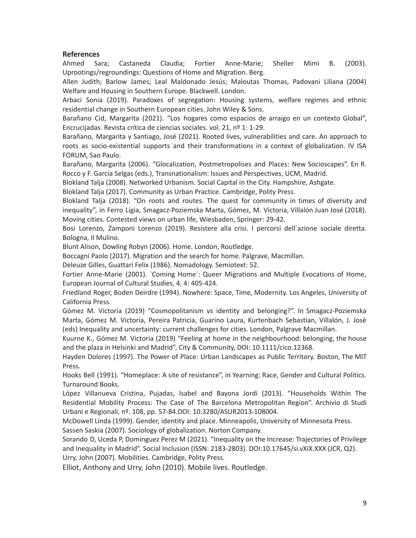Ahmed Sara; Castaneda Claudia; Fortier [Anne-Marie](http://www.research.lancs.ac.uk/portal/en/people/annemarie-fortier(0c2a3dc2-313f-4606-af6c-428266d26c83).html); [Sheller](http://www.research.lancs.ac.uk/portal/en/people/mimi-sheller(2c90f8f7-5dcb-406d-9bdb-fadd42817ad8).html) Mimi B. (2003). Uprootings/regroundings: Questions of Home and Migration. Berg.

Allen Judith; Barlow James; Leal Maldonado Jesús; Maloutas Thomas, Padovani Liliana (2004) Welfare and Housing in Southern Europe. Blackwell. London.

Arbaci Sonia (2019). Paradoxes of segregation: Housing systems, welfare regimes and ethnic residential change in Southern European cities. John Wiley & Sons.

Barañano Cid, Margarita (2021). "Los hogares como espacios de arraigo en un contexto Global", Encrucijadas. Revista crítica de ciencias sociales. vol. 21, nº 1: 1-29.

Barañano, Margarita y Santiago, José (2021). Rooted lives, vulnerabilities and care. An approach to roots as socio-existential supports and their transformations in a context of globalization. IV ISA FORUM, Sao Paulo.

Barañano, Margarita (2006). "Glocalization, Postmetropolises and Places: New Socioscapes". En R. Rocco y F. García Selgas (eds.), Transnationalism: Issues and Perspectives, UCM, Madrid.

Blokland Talja (2008). Networked Urbanism. Social Capital in the City. Hampshire, Ashgate.

Blokland Talja (2017). Community as Urban Practice. Cambridge, Polity Press.

Blokland Talja (2018). "On roots and routes. The quest for community in times of diversity and inequality", in Ferro Ligia, Smagacz-Poziemska Marta, Gómez, M. Victoria, Villalón Juan José (2018). Moving cities. Contested views on urban life, Wiesbaden, Springer: 29-42.

Bosi Lorenzo, Zamponi Lorenzo (2019). Resistere alla crisi. I percorsi dell´azione sociale diretta. Bologna, Il Mulino.

Blunt Alison, Dowling Robyn (2006). Home. London, Routledge.

Boccagni Paolo (2017). Migration and the search for home. Palgrave, Macmillan.

Deleuze Gilles, Guattari Felix (1986). Nomadology. Semiotext: 52.

Fortier Anne-Marie (2001). `Coming Home´: Queer Migrations and Multiple Evocations of Home, European Journal of Cultural Studies, 4, 4: 405-424.

Friedland Roger, Boden Deirdre (1994). Nowhere: Space, Time, Modernity. Los Angeles, University of California Press.

Gómez M. Victoria (2019) "Cosmopolitanism vs identity and belonging?". In Smagacz-Poziemska Marta, Gómez M. Victoria, Pereira Patricia, Guarino Laura, Kurtenbach Sebastian, Villalón, J. Josè (eds) Inequality and uncertainty: current challenges for cities. London, Palgrave Macmillan.

Kuurne K., Gómez M. Victoria (2019) "Feeling at home in the neighbourhood: belonging, the house and the plaza in Helsinki and Madrid", City & Community, DOI: 10.1111/cico.12368.

Hayden Dolores (1997). The Power of Place: Urban Landscapes as Public Territory. Boston, The MIT Press.

Hooks Bell (1991). "Homeplace: A site of resistance", in Yearning: Race, Gender and Cultural Politics. Turnaround Books.

López Villanueva Cristina, Pujadas, Isabel and Bayona Jordi (2013). "Households Within The Residential Mobility Process: The Case of The Barcelona Metropolitan Region". Archivio di Studi Urbani e Regionali, nº. 108, pp. 57-84.DOI: [10.3280/ASUR2013-108004.](https://www.researchgate.net/deref/http%3A%2F%2Fdx.doi.org%2F10.3280%2FASUR2013-108004)

McDowell Linda (1999). Gender, identity and place. Minneapolis, University of Minnesota Press. Sassen Saskia (2007). Sociology of globalization. Norton Company.

Sorando D, Uceda P, Dominguez Perez M (2021). "Inequality on the Increase: Trajectories of Privilege and Inequality in Madrid". Social Inclusion (ISSN: 2183-2803). DOI:10.17645/si.vXiX.XXX (JCR, Q2). Urry, John (2007). Mobilities. Cambridge, Polity Press.

Elliot, Anthony and Urry, John (2010). Mobile lives. Routledge.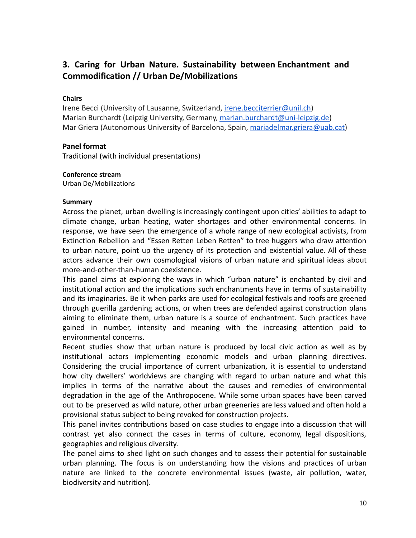# <span id="page-9-0"></span>**3. Caring for Urban Nature. Sustainability between Enchantment and Commodification // Urban De/Mobilizations**

## **Chairs**

Irene Becci (University of Lausanne, Switzerland, *irene.becciterrier@unil.ch*) Marian Burchardt (Leipzig University, Germany, [marian.burchardt@uni-leipzig.de\)](mailto:marian.burchardt@uni-leipzig.de) Mar Griera (Autonomous University of Barcelona, Spain, [mariadelmar.griera@uab.cat\)](mailto:mariadelmar.griera@uab.cat)

#### **Panel format**

Traditional (with individual presentations)

#### **Conference stream**

Urban De/Mobilizations

#### **Summary**

Across the planet, urban dwelling is increasingly contingent upon cities' abilities to adapt to climate change, urban heating, water shortages and other environmental concerns. In response, we have seen the emergence of a whole range of new ecological activists, from Extinction Rebellion and "Essen Retten Leben Retten" to tree huggers who draw attention to urban nature, point up the urgency of its protection and existential value. All of these actors advance their own cosmological visions of urban nature and spiritual ideas about more-and-other-than-human coexistence.

This panel aims at exploring the ways in which "urban nature" is enchanted by civil and institutional action and the implications such enchantments have in terms of sustainability and its imaginaries. Be it when parks are used for ecological festivals and roofs are greened through guerilla gardening actions, or when trees are defended against construction plans aiming to eliminate them, urban nature is a source of enchantment. Such practices have gained in number, intensity and meaning with the increasing attention paid to environmental concerns.

Recent studies show that urban nature is produced by local civic action as well as by institutional actors implementing economic models and urban planning directives. Considering the crucial importance of current urbanization, it is essential to understand how city dwellers' worldviews are changing with regard to urban nature and what this implies in terms of the narrative about the causes and remedies of environmental degradation in the age of the Anthropocene. While some urban spaces have been carved out to be preserved as wild nature, other urban greeneries are less valued and often hold a provisional status subject to being revoked for construction projects.

This panel invites contributions based on case studies to engage into a discussion that will contrast yet also connect the cases in terms of culture, economy, legal dispositions, geographies and religious diversity.

The panel aims to shed light on such changes and to assess their potential for sustainable urban planning. The focus is on understanding how the visions and practices of urban nature are linked to the concrete environmental issues (waste, air pollution, water, biodiversity and nutrition).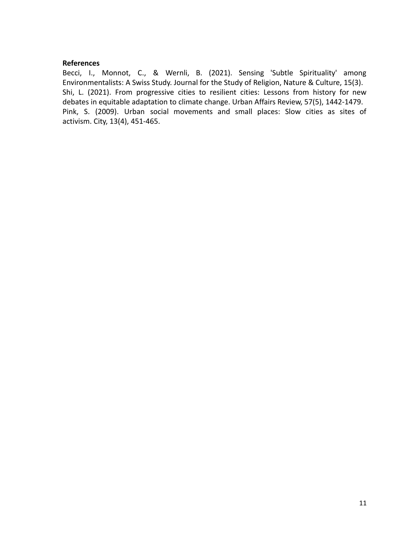Becci, I., Monnot, C., & Wernli, B. (2021). Sensing 'Subtle Spirituality' among Environmentalists: A Swiss Study. Journal for the Study of Religion, Nature & Culture, 15(3). Shi, L. (2021). From progressive cities to resilient cities: Lessons from history for new debates in equitable adaptation to climate change. Urban Affairs Review, 57(5), 1442-1479. Pink, S. (2009). Urban social movements and small places: Slow cities as sites of activism. City, 13(4), 451-465.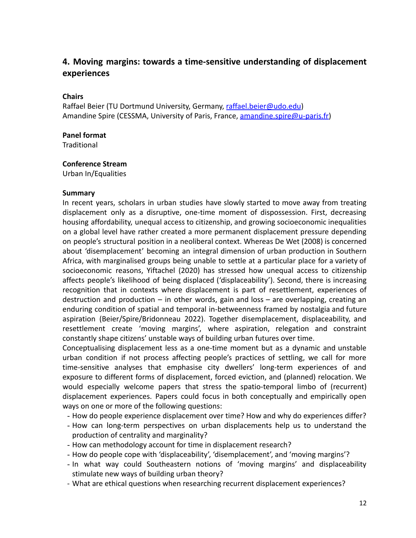# <span id="page-11-0"></span>**4. Moving margins: towards a time-sensitive understanding of displacement experiences**

## **Chairs**

Raffael Beier (TU Dortmund University, Germany, [raffael.beier@udo.edu](mailto:raffael.beier@udo.edu)) Amandine Spire (CESSMA, University of Paris, France, [amandine.spire@u-paris.fr\)](mailto:amandine.spire@u-paris.fr)

#### **Panel format**

**Traditional** 

#### **Conference Stream**

Urban In/Equalities

#### **Summary**

In recent years, scholars in urban studies have slowly started to move away from treating displacement only as a disruptive, one-time moment of dispossession. First, decreasing housing affordability, unequal access to citizenship, and growing socioeconomic inequalities on a global level have rather created a more permanent displacement pressure depending on people's structural position in a neoliberal context. Whereas De Wet (2008) is concerned about 'disemplacement' becoming an integral dimension of urban production in Southern Africa, with marginalised groups being unable to settle at a particular place for a variety of socioeconomic reasons, Yiftachel (2020) has stressed how unequal access to citizenship affects people's likelihood of being displaced ('displaceability'). Second, there is increasing recognition that in contexts where displacement is part of resettlement, experiences of destruction and production – in other words, gain and loss – are overlapping, creating an enduring condition of spatial and temporal in-betweenness framed by nostalgia and future aspiration (Beier/Spire/Bridonneau 2022). Together disemplacement, displaceability, and resettlement create 'moving margins', where aspiration, relegation and constraint constantly shape citizens' unstable ways of building urban futures over time.

Conceptualising displacement less as a one-time moment but as a dynamic and unstable urban condition if not process affecting people's practices of settling, we call for more time-sensitive analyses that emphasise city dwellers' long-term experiences of and exposure to different forms of displacement, forced eviction, and (planned) relocation. We would especially welcome papers that stress the spatio-temporal limbo of (recurrent) displacement experiences. Papers could focus in both conceptually and empirically open ways on one or more of the following questions:

- How do people experience displacement over time? How and why do experiences differ?
- How can long-term perspectives on urban displacements help us to understand the production of centrality and marginality?
- How can methodology account for time in displacement research?
- How do people cope with 'displaceability', 'disemplacement', and 'moving margins'?
- In what way could Southeastern notions of 'moving margins' and displaceability stimulate new ways of building urban theory?
- What are ethical questions when researching recurrent displacement experiences?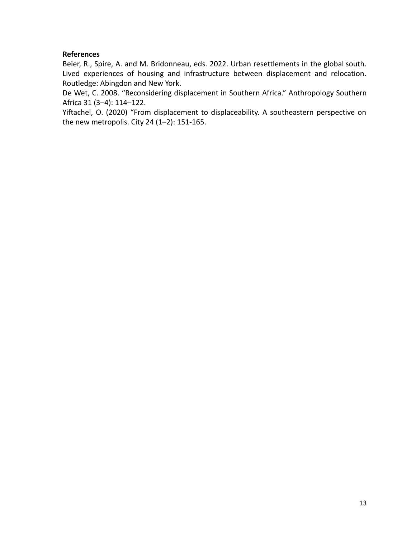Beier, R., Spire, A. and M. Bridonneau, eds. 2022. Urban resettlements in the global south. Lived experiences of housing and infrastructure between displacement and relocation. Routledge: Abingdon and New York.

De Wet, C. 2008. "Reconsidering displacement in Southern Africa." Anthropology Southern Africa 31 (3–4): 114–122.

Yiftachel, O. (2020) "From displacement to displaceability. A southeastern perspective on the new metropolis. City 24 (1–2): 151-165.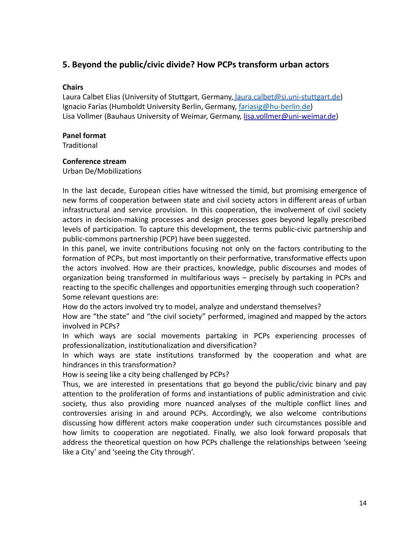# <span id="page-13-0"></span>**5. Beyond the public/civic divide? How PCPs transform urban actors**

# **Chairs**

Laura Calbet Elias (University of Stuttgart, Germany, [laura.calbet@si.uni-stuttgart.de](mailto:laura.calbet@si.uni-stuttgart.de)) Ignacio Farías (Humboldt University Berlin, Germany, [fariasig@hu-berlin.de\)](mailto:fariasig@hu-berlin.de) Lisa Vollmer (Bauhaus University of Weimar, Germany, [lisa.vollmer@uni-weimar.de\)](mailto:lisa.vollmer@uni-weimar.de)

## **Panel format**

**Traditional** 

## **Conference stream**

Urban De/Mobilizations

In the last decade, European cities have witnessed the timid, but promising emergence of new forms of cooperation between state and civil society actors in different areas of urban infrastructural and service provision. In this cooperation, the involvement of civil society actors in decision-making processes and design processes goes beyond legally prescribed levels of participation. To capture this development, the terms public-civic partnership and public-commons partnership (PCP) have been suggested.

In this panel, we invite contributions focusing not only on the factors contributing to the formation of PCPs, but most importantly on their performative, transformative effects upon the actors involved. How are their practices, knowledge, public discourses and modes of organization being transformed in multifarious ways – precisely by partaking in PCPs and reacting to the specific challenges and opportunities emerging through such cooperation? Some relevant questions are:

How do the actors involved try to model, analyze and understand themselves?

How are "the state" and "the civil society" performed, imagined and mapped by the actors involved in PCPs?

In which ways are social movements partaking in PCPs experiencing processes of professionalization, institutionalization and diversification?

In which ways are state institutions transformed by the cooperation and what are hindrances in this transformation?

How is seeing like a city being challenged by PCPs?

Thus, we are interested in presentations that go beyond the public/civic binary and pay attention to the proliferation of forms and instantiations of public administration and civic society, thus also providing more nuanced analyses of the multiple conflict lines and controversies arising in and around PCPs. Accordingly, we also welcome contributions discussing how different actors make cooperation under such circumstances possible and how limits to cooperation are negotiated. Finally, we also look forward proposals that address the theoretical question on how PCPs challenge the relationships between 'seeing like a City' and 'seeing the City through'.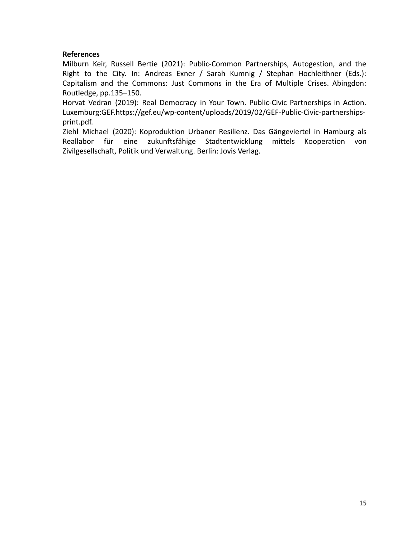Milburn Keir, Russell Bertie (2021): Public-Common Partnerships, Autogestion, and the Right to the City. In: Andreas Exner / Sarah Kumnig / Stephan Hochleithner (Eds.): Capitalism and the Commons: Just Commons in the Era of Multiple Crises. Abingdon: Routledge, pp.135–150.

Horvat Vedran (2019): Real Democracy in Your Town. Public-Civic Partnerships in Action. Luxemburg:GEF.https://gef.eu/wp-content/uploads/2019/02/GEF-Public-Civic-partnershipsprint.pdf.

Ziehl Michael (2020): Koproduktion Urbaner Resilienz. Das Gängeviertel in Hamburg als Reallabor für eine zukunftsfähige Stadtentwicklung mittels Kooperation von Zivilgesellschaft, Politik und Verwaltung. Berlin: Jovis Verlag.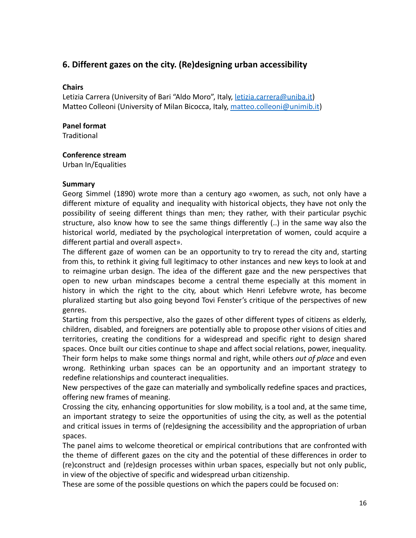# <span id="page-15-0"></span>**6. Different gazes on the city. (Re)designing urban accessibility**

# **Chairs**

Letizia Carrera (University of Bari "Aldo Moro", Italy, *letizia.carrera@uniba.it*) Matteo Colleoni (University of Milan Bicocca, Italy, [matteo.colleoni@unimib.it](mailto:matteo.colleoni@unimib.it))

# **Panel format**

**Traditional** 

# **Conference stream**

Urban In/Equalities

# **Summary**

Georg Simmel (1890) wrote more than a century ago «women, as such, not only have a different mixture of equality and inequality with historical objects, they have not only the possibility of seeing different things than men; they rather, with their particular psychic structure, also know how to see the same things differently (..) in the same way also the historical world, mediated by the psychological interpretation of women, could acquire a different partial and overall aspect».

The different gaze of women can be an opportunity to try to reread the city and, starting from this, to rethink it giving full legitimacy to other instances and new keys to look at and to reimagine urban design. The idea of the different gaze and the new perspectives that open to new urban mindscapes become a central theme especially at this moment in history in which the right to the city, about which Henri Lefebvre wrote, has become pluralized starting but also going beyond Tovi Fenster's critique of the perspectives of new genres.

Starting from this perspective, also the gazes of other different types of citizens as elderly, children, disabled, and foreigners are potentially able to propose other visions of cities and territories, creating the conditions for a widespread and specific right to design shared spaces. Once built our cities continue to shape and affect social relations, power, inequality. Their form helps to make some things normal and right, while others *out of place* and even wrong. Rethinking urban spaces can be an opportunity and an important strategy to redefine relationships and counteract inequalities.

New perspectives of the gaze can materially and symbolically redefine spaces and practices, offering new frames of meaning.

Crossing the city, enhancing opportunities for slow mobility, is a tool and, at the same time, an important strategy to seize the opportunities of using the city, as well as the potential and critical issues in terms of (re)designing the accessibility and the appropriation of urban spaces.

The panel aims to welcome theoretical or empirical contributions that are confronted with the theme of different gazes on the city and the potential of these differences in order to (re)construct and (re)design processes within urban spaces, especially but not only public, in view of the objective of specific and widespread urban citizenship.

These are some of the possible questions on which the papers could be focused on: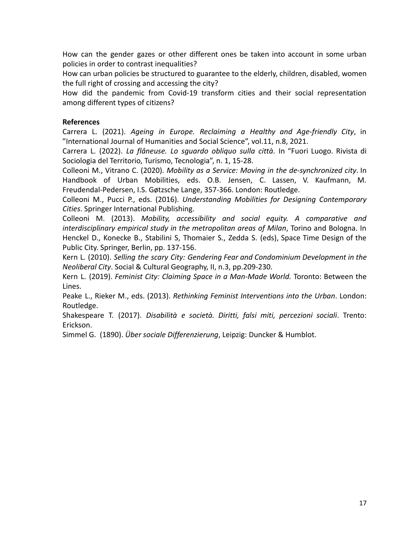How can the gender gazes or other different ones be taken into account in some urban policies in order to contrast inequalities?

How can urban policies be structured to guarantee to the elderly, children, disabled, women the full right of crossing and accessing the city?

How did the pandemic from Covid-19 transform cities and their social representation among different types of citizens?

## **References**

Carrera L. (2021). *Ageing in Europe. Reclaiming a Healthy and Age-friendly City*, in "International Journal of Humanities and Social Science", vol.11, n.8, 2021.

Carrera L. (2022). *La flâneuse. Lo sguardo obliquo sulla città*. In "Fuori Luogo. Rivista di Sociologia del Territorio, Turismo, Tecnologia", n. 1, 15-28.

Colleoni M., Vitrano C. (2020). *Mobility as a Service: Moving in the de-synchronized city*. In Handbook of Urban Mobilities, eds. O.B. Jensen, C. Lassen, V. Kaufmann, M. Freudendal-Pedersen, I.S. Gøtzsche Lange, 357-366. London: Routledge.

Colleoni M., Pucci P., eds. (2016). *Understanding Mobilities for Designing Contemporary Cities*. Springer International Publishing.

Colleoni M. (2013). *Mobility, accessibility and social equity. A comparative and interdisciplinary empirical study in the metropolitan areas of Milan*, Torino and Bologna. In Henckel D., Konecke B., Stabilini S, Thomaier S., Zedda S. (eds), Space Time Design of the Public City. Springer, Berlin, pp. 137-156.

Kern L. (2010). *Selling the scary City: Gendering Fear and Condominium Development in the Neoliberal City*. Social & Cultural Geography, II, n.3, pp.209-230.

Kern L. (2019). *Feminist City: Claiming Space in a Man-Made World.* Toronto: Between the Lines.

Peake L., Rieker M., eds. (2013). *Rethinking Feminist Interventions into the Urban*. London: Routledge.

Shakespeare T. (2017). *Disabilità e società. Diritti, falsi miti, percezioni sociali*. Trento: Erickson.

Simmel G. (1890). *Über sociale Differenzierung*, Leipzig: Duncker & Humblot.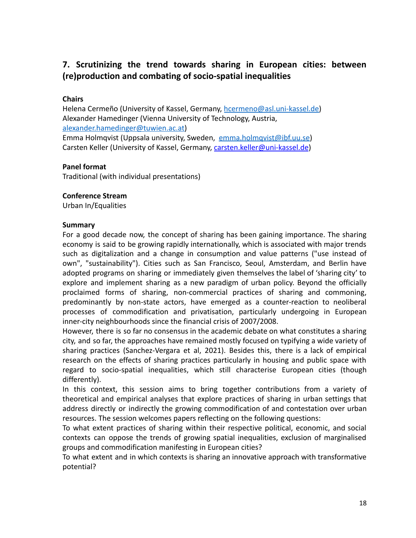# <span id="page-17-0"></span>**7. Scrutinizing the trend towards sharing in European cities: between (re)production and combating of socio-spatial inequalities**

# **Chairs**

Helena Cermeño (University of Kassel, Germany, [hcermeno@asl.uni-kassel.de\)](mailto:hcermeno@asl.uni-kassel.de) Alexander Hamedinger (Vienna University of Technology, Austria, [alexander.hamedinger@tuwien.ac.at\)](mailto:alexander.hamedinger@tuwien.ac.at) Emma Holmqvist (Uppsala university, Sweden, [emma.holmqvist@ibf.uu.se](mailto:emma.holmqvist@ibf.uu.se)) Carsten Keller (University of Kassel, Germany, [carsten.keller@uni-kassel.de](mailto:carsten.keller@uni-kassel.de))

## **Panel format**

Traditional (with individual presentations)

#### **Conference Stream**

Urban In/Equalities

#### **Summary**

For a good decade now, the concept of sharing has been gaining importance. The sharing economy is said to be growing rapidly internationally, which is associated with major trends such as digitalization and a change in consumption and value patterns ("use instead of own", "sustainability"). Cities such as San Francisco, Seoul, Amsterdam, and Berlin have adopted programs on sharing or immediately given themselves the label of 'sharing city' to explore and implement sharing as a new paradigm of urban policy. Beyond the officially proclaimed forms of sharing, non-commercial practices of sharing and commoning, predominantly by non-state actors, have emerged as a counter-reaction to neoliberal processes of commodification and privatisation, particularly undergoing in European inner-city neighbourhoods since the financial crisis of 2007/2008.

However, there is so far no consensus in the academic debate on what constitutes a sharing city, and so far, the approaches have remained mostly focused on typifying a wide variety of sharing practices (Sanchez-Vergara et al, 2021). Besides this, there is a lack of empirical research on the effects of sharing practices particularly in housing and public space with regard to socio-spatial inequalities, which still characterise European cities (though differently).

In this context, this session aims to bring together contributions from a variety of theoretical and empirical analyses that explore practices of sharing in urban settings that address directly or indirectly the growing commodification of and contestation over urban resources. The session welcomes papers reflecting on the following questions:

To what extent practices of sharing within their respective political, economic, and social contexts can oppose the trends of growing spatial inequalities, exclusion of marginalised groups and commodification manifesting in European cities?

To what extent and in which contexts is sharing an innovative approach with transformative potential?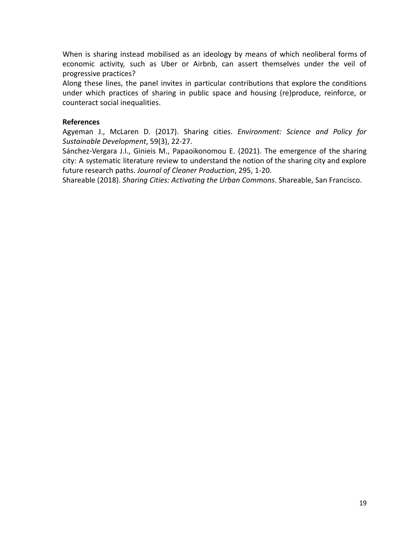When is sharing instead mobilised as an ideology by means of which neoliberal forms of economic activity, such as Uber or Airbnb, can assert themselves under the veil of progressive practices?

Along these lines, the panel invites in particular contributions that explore the conditions under which practices of sharing in public space and housing (re)produce, reinforce, or counteract social inequalities.

# **References**

Agyeman J., McLaren D. (2017). Sharing cities. *Environment: Science and Policy for Sustainable Development*, 59(3), 22-27.

Sánchez-Vergara J.I., Ginieis M., Papaoikonomou E. (2021). The emergence of the sharing city: A systematic literature review to understand the notion of the sharing city and explore future research paths. *Journal of Cleaner Production*, 295, 1-20.

<span id="page-18-0"></span>Shareable (2018). *Sharing Cities: Activating the Urban Commons*. Shareable, San Francisco.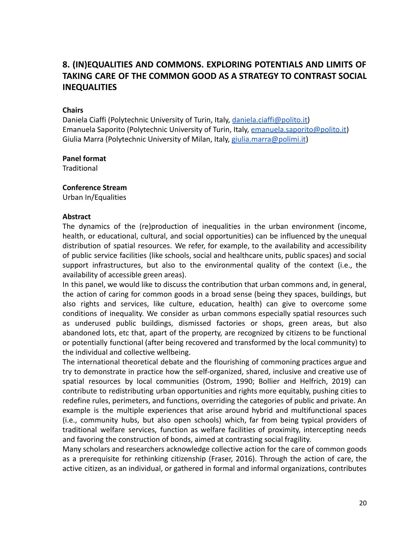# **8. (IN)EQUALITIES AND COMMONS. EXPLORING POTENTIALS AND LIMITS OF TAKING CARE OF THE COMMON GOOD AS A STRATEGY TO CONTRAST SOCIAL INEQUALITIES**

## **Chairs**

Daniela Ciaffi (Polytechnic University of Turin, Italy, [daniela.ciaffi@polito.it\)](mailto:daniela.ciaffi@polito.it) Emanuela Saporito (Polytechnic University of Turin, Italy, [emanuela.saporito@polito.it](mailto:emanuela.saporito@polito.it)) Giulia Marra (Polytechnic University of Milan, Italy, [giulia.marra@polimi.it](mailto:giulia.marra@polimi.it))

#### **Panel format**

**Traditional** 

#### **Conference Stream**

Urban In/Equalities

#### **Abstract**

The dynamics of the (re)production of inequalities in the urban environment (income, health, or educational, cultural, and social opportunities) can be influenced by the unequal distribution of spatial resources. We refer, for example, to the availability and accessibility of public service facilities (like schools, social and healthcare units, public spaces) and social support infrastructures, but also to the environmental quality of the context (i.e., the availability of accessible green areas).

In this panel, we would like to discuss the contribution that urban commons and, in general, the action of caring for common goods in a broad sense (being they spaces, buildings, but also rights and services, like culture, education, health) can give to overcome some conditions of inequality. We consider as urban commons especially spatial resources such as underused public buildings, dismissed factories or shops, green areas, but also abandoned lots, etc that, apart of the property, are recognized by citizens to be functional or potentially functional (after being recovered and transformed by the local community) to the individual and collective wellbeing.

The international theoretical debate and the flourishing of commoning practices argue and try to demonstrate in practice how the self-organized, shared, inclusive and creative use of spatial resources by local communities (Ostrom, 1990; Bollier and Helfrich, 2019) can contribute to redistributing urban opportunities and rights more equitably, pushing cities to redefine rules, perimeters, and functions, overriding the categories of public and private. An example is the multiple experiences that arise around hybrid and multifunctional spaces (i.e., community hubs, but also open schools) which, far from being typical providers of traditional welfare services, function as welfare facilities of proximity, intercepting needs and favoring the construction of bonds, aimed at contrasting social fragility.

Many scholars and researchers acknowledge collective action for the care of common goods as a prerequisite for rethinking citizenship (Fraser, 2016). Through the action of care, the active citizen, as an individual, or gathered in formal and informal organizations, contributes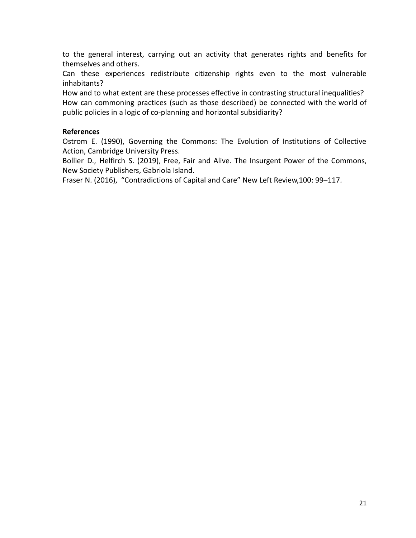to the general interest, carrying out an activity that generates rights and benefits for themselves and others.

Can these experiences redistribute citizenship rights even to the most vulnerable inhabitants?

How and to what extent are these processes effective in contrasting structural inequalities? How can commoning practices (such as those described) be connected with the world of public policies in a logic of co-planning and horizontal subsidiarity?

## **References**

Ostrom E. (1990), Governing the Commons: The Evolution of Institutions of Collective Action, Cambridge University Press.

Bollier D., Helfirch S. (2019), Free, Fair and Alive. The Insurgent Power of the Commons, New Society Publishers, Gabriola Island.

Fraser N. (2016), "Contradictions of Capital and Care" New Left Review,100: 99–117.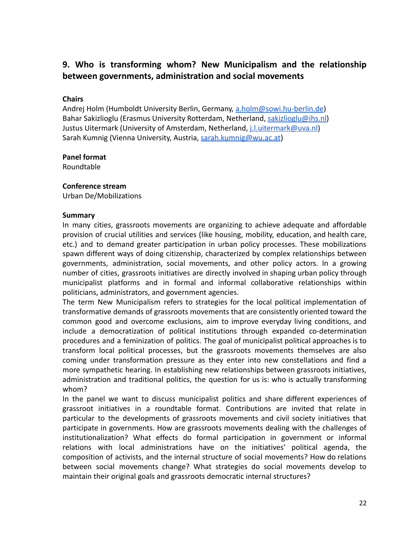# <span id="page-21-0"></span>**9. Who is transforming whom? New Municipalism and the relationship between governments, administration and social movements**

# **Chairs**

Andrej Holm (Humboldt University Berlin, Germany, [a.holm@sowi.hu-berlin.de](mailto:a.holm@sowi.hu-berlin.de)) Bahar Sakizlioglu (Erasmus University Rotterdam, Netherland, [sakizlioglu@ihs.nl\)](mailto:sakizlioglu@ihs.nl) Justus Uitermark (University of Amsterdam, Netherland, [j.l.uitermark@uva.nl\)](mailto:j.l.uitermark@uva.nl) Sarah Kumnig (Vienna University, Austria, [sarah.kumnig@wu.ac.at](mailto:sarah.kumnig@wu.ac.at))

## **Panel format**

Roundtable

## **Conference stream**

Urban De/Mobilizations

#### **Summary**

In many cities, grassroots movements are organizing to achieve adequate and affordable provision of crucial utilities and services (like housing, mobility, education, and health care, etc.) and to demand greater participation in urban policy processes. These mobilizations spawn different ways of doing citizenship, characterized by complex relationships between governments, administration, social movements, and other policy actors. In a growing number of cities, grassroots initiatives are directly involved in shaping urban policy through municipalist platforms and in formal and informal collaborative relationships within politicians, administrators, and government agencies.

The term New Municipalism refers to strategies for the local political implementation of transformative demands of grassroots movements that are consistently oriented toward the common good and overcome exclusions, aim to improve everyday living conditions, and include a democratization of political institutions through expanded co-determination procedures and a feminization of politics. The goal of municipalist political approaches is to transform local political processes, but the grassroots movements themselves are also coming under transformation pressure as they enter into new constellations and find a more sympathetic hearing. In establishing new relationships between grassroots initiatives, administration and traditional politics, the question for us is: who is actually transforming whom?

In the panel we want to discuss municipalist politics and share different experiences of grassroot initiatives in a roundtable format. Contributions are invited that relate in particular to the developments of grassroots movements and civil society initiatives that participate in governments. How are grassroots movements dealing with the challenges of institutionalization? What effects do formal participation in government or informal relations with local administrations have on the initiatives' political agenda, the composition of activists, and the internal structure of social movements? How do relations between social movements change? What strategies do social movements develop to maintain their original goals and grassroots democratic internal structures?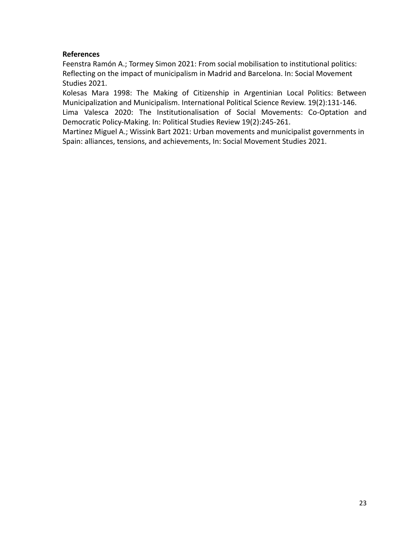Feenstra Ramón A.; Tormey Simon 2021: From social mobilisation to institutional politics: Reflecting on the impact of municipalism in Madrid and Barcelona. In: Social Movement Studies 2021.

Kolesas Mara 1998: The Making of Citizenship in Argentinian Local Politics: Between Municipalization and Municipalism. International Political Science Review. 19(2):131-146. Lima Valesca 2020: The Institutionalisation of Social Movements: Co-Optation and Democratic Policy-Making. In: Political Studies Review 19(2):245-261.

Martinez Miguel A.; Wissink Bart 2021: Urban movements and municipalist governments in Spain: alliances, tensions, and achievements, In: Social Movement Studies 2021.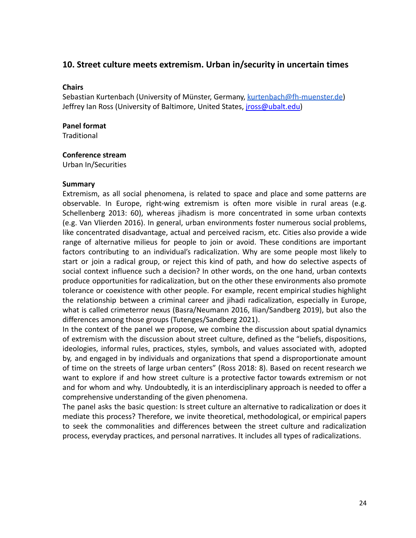# <span id="page-23-0"></span>**10. Street culture meets extremism. Urban in/security in uncertain times**

#### **Chairs**

Sebastian Kurtenbach (University of Münster, Germany, [kurtenbach@fh-muenster.de\)](mailto:kurtenbach@fh-muenster.de) Jeffrey Ian Ross (University of Baltimore, United States, *[jross@ubalt.edu\)](mailto:jross@ubalt.edu)* 

# **Panel format**

**Traditional** 

#### **Conference stream**

Urban In/Securities

#### **Summary**

Extremism, as all social phenomena, is related to space and place and some patterns are observable. In Europe, right-wing extremism is often more visible in rural areas (e.g. Schellenberg 2013: 60), whereas jihadism is more concentrated in some urban contexts (e.g. Van Vlierden 2016). In general, urban environments foster numerous social problems, like concentrated disadvantage, actual and perceived racism, etc. Cities also provide a wide range of alternative milieus for people to join or avoid. These conditions are important factors contributing to an individual's radicalization. Why are some people most likely to start or join a radical group, or reject this kind of path, and how do selective aspects of social context influence such a decision? In other words, on the one hand, urban contexts produce opportunities for radicalization, but on the other these environments also promote tolerance or coexistence with other people. For example, recent empirical studies highlight the relationship between a criminal career and jihadi radicalization, especially in Europe, what is called crimeterror nexus (Basra/Neumann 2016, Ilian/Sandberg 2019), but also the differences among those groups (Tutenges/Sandberg 2021).

In the context of the panel we propose, we combine the discussion about spatial dynamics of extremism with the discussion about street culture, defined as the "beliefs, dispositions, ideologies, informal rules, practices, styles, symbols, and values associated with, adopted by, and engaged in by individuals and organizations that spend a disproportionate amount of time on the streets of large urban centers" (Ross 2018: 8). Based on recent research we want to explore if and how street culture is a protective factor towards extremism or not and for whom and why. Undoubtedly, it is an interdisciplinary approach is needed to offer a comprehensive understanding of the given phenomena.

The panel asks the basic question: Is street culture an alternative to radicalization or does it mediate this process? Therefore, we invite theoretical, methodological, or empirical papers to seek the commonalities and differences between the street culture and radicalization process, everyday practices, and personal narratives. It includes all types of radicalizations.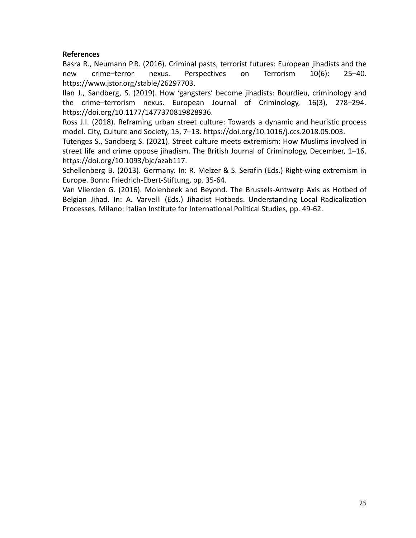Basra R., Neumann P.R. (2016). Criminal pasts, terrorist futures: European jihadists and the new crime–terror nexus. Perspectives on Terrorism 10(6): 25–40. https://www.jstor.org/stable/26297703.

Ilan J., Sandberg, S. (2019). How 'gangsters' become jihadists: Bourdieu, criminology and the crime–terrorism nexus. European Journal of Criminology, 16(3), 278–294. https://doi.org/10.1177/1477370819828936.

Ross J.I. (2018). Reframing urban street culture: Towards a dynamic and heuristic process model. City, Culture and Society, 15, 7–13. https://doi.org/10.1016/j.ccs.2018.05.003.

Tutenges S., Sandberg S. (2021). Street culture meets extremism: How Muslims involved in street life and crime oppose jihadism. The British Journal of Criminology, December, 1–16. https://doi.org/10.1093/bjc/azab117.

Schellenberg B. (2013). Germany. In: R. Melzer & S. Serafin (Eds.) Right-wing extremism in Europe. Bonn: Friedrich-Ebert-Stiftung, pp. 35-64.

Van Vlierden G. (2016). Molenbeek and Beyond. The Brussels-Antwerp Axis as Hotbed of Belgian Jihad. In: A. Varvelli (Eds.) Jihadist Hotbeds. Understanding Local Radicalization Processes. Milano: Italian Institute for International Political Studies, pp. 49-62.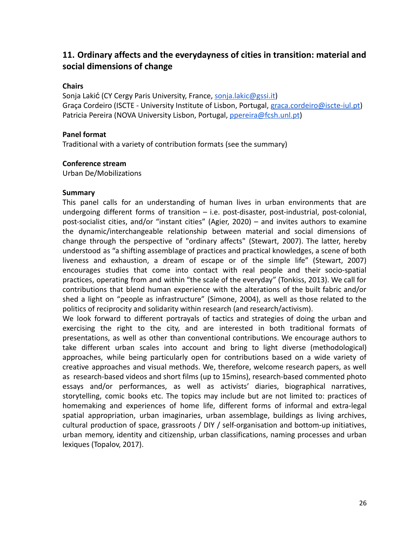# **11. Ordinary affects and the everydayness of cities in transition: material and social dimensions of change**

## **Chairs**

Sonja Lakić (CY Cergy Paris University, France, [sonja.lakic@gssi.it](mailto:sonja.lakic@gssi.it)) Graça Cordeiro (ISCTE - University Institute of Lisbon, Portugal, [graca.cordeiro@iscte-iul.pt](mailto:graca.cordeiro@iscte-iul.pt)) Patricia Pereira (NOVA University Lisbon, Portugal, [ppereira@fcsh.unl.pt](mailto:ppereira@fcsh.unl.pt))

#### **Panel format**

Traditional with a variety of contribution formats (see the summary)

#### **Conference stream**

Urban De/Mobilizations

#### **Summary**

This panel calls for an understanding of human lives in urban environments that are undergoing different forms of transition – i.e. post-disaster, post-industrial, post-colonial, post-socialist cities, and/or "instant cities" (Agier, 2020) – and invites authors to examine the dynamic/interchangeable relationship between material and social dimensions of change through the perspective of "ordinary affects" (Stewart, 2007). The latter, hereby understood as "a shifting assemblage of practices and practical knowledges, a scene of both liveness and exhaustion, a dream of escape or of the simple life" (Stewart, 2007) encourages studies that come into contact with real people and their socio-spatial practices, operating from and within "the scale of the everyday" (Tonkiss, 2013). We call for contributions that blend human experience with the alterations of the built fabric and/or shed a light on "people as infrastructure" (Simone, 2004), as well as those related to the politics of reciprocity and solidarity within research (and research/activism).

We look forward to different portrayals of tactics and strategies of doing the urban and exercising the right to the city, and are interested in both traditional formats of presentations, as well as other than conventional contributions. We encourage authors to take different urban scales into account and bring to light diverse (methodological) approaches, while being particularly open for contributions based on a wide variety of creative approaches and visual methods. We, therefore, welcome research papers, as well as research-based videos and short films (up to 15mins), research-based commented photo essays and/or performances, as well as activists' diaries, biographical narratives, storytelling, comic books etc. The topics may include but are not limited to: practices of homemaking and experiences of home life, different forms of informal and extra-legal spatial appropriation, urban imaginaries, urban assemblage, buildings as living archives, cultural production of space, grassroots / DIY / self-organisation and bottom-up initiatives, urban memory, identity and citizenship, urban classifications, naming processes and urban lexiques (Topalov, 2017).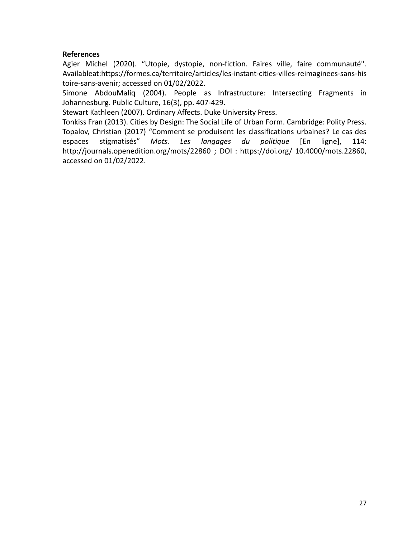Agier Michel (2020). "Utopie, dystopie, non-fiction. Faires ville, faire communauté". Availableat:[https://formes.ca/territoire/articles/les-instant-cities-villes-reimaginees-sans-his](https://formes.ca/territoire/articles/les-instant-cities-villes-reimaginees-sans-histoire-sans-avenir) [toire-sans-avenir;](https://formes.ca/territoire/articles/les-instant-cities-villes-reimaginees-sans-histoire-sans-avenir) accessed on 01/02/2022.

Simone AbdouMaliq (2004). People as Infrastructure: Intersecting Fragments in Johannesburg. Public Culture, 16(3), pp. 407-429.

Stewart Kathleen (2007). Ordinary Affects. Duke University Press.

Tonkiss Fran (2013). Cities by Design: The Social Life of Urban Form. Cambridge: Polity Press. Topalov, Christian (2017) "Comment se produisent les classifications urbaines? Le cas des espaces stigmatisés" *Mots. Les langages du politique* [En ligne], 114: http://journals.openedition.org/mots/22860 ; DOI : https://doi.org/ 10.4000/mots.22860, accessed on 01/02/2022.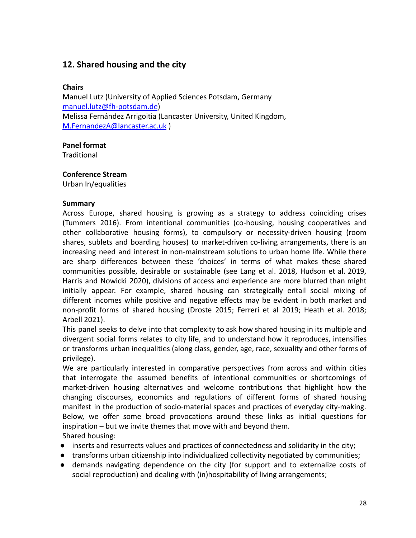# <span id="page-27-0"></span>**12. Shared housing and the city**

# **Chairs**

Manuel Lutz (University of Applied Sciences Potsdam, Germany [manuel.lutz@fh-potsdam.de](mailto:manuel.lutz@fh-potsdam.de)) Melissa Fernández Arrigoitia (Lancaster University, United Kingdom, [M.FernandezA@lancaster.ac.uk](mailto:M.FernandezA@lancaster.ac.uk) )

# **Panel format**

**Traditional** 

# **Conference Stream**

Urban In/equalities

## **Summary**

Across Europe, shared housing is growing as a strategy to address coinciding crises (Tummers 2016). From intentional communities (co-housing, housing cooperatives and other collaborative housing forms), to compulsory or necessity-driven housing (room shares, sublets and boarding houses) to market-driven co-living arrangements, there is an increasing need and interest in non-mainstream solutions to urban home life. While there are sharp differences between these 'choices' in terms of what makes these shared communities possible, desirable or sustainable (see Lang et al. 2018, Hudson et al. 2019, Harris and Nowicki 2020), divisions of access and experience are more blurred than might initially appear. For example, shared housing can strategically entail social mixing of different incomes while positive and negative effects may be evident in both market and non-profit forms of shared housing (Droste 2015; Ferreri et al 2019; Heath et al. 2018; Arbell 2021).

This panel seeks to delve into that complexity to ask how shared housing in its multiple and divergent social forms relates to city life, and to understand how it reproduces, intensifies or transforms urban inequalities (along class, gender, age, race, sexuality and other forms of privilege).

We are particularly interested in comparative perspectives from across and within cities that interrogate the assumed benefits of intentional communities or shortcomings of market-driven housing alternatives and welcome contributions that highlight how the changing discourses, economics and regulations of different forms of shared housing manifest in the production of socio-material spaces and practices of everyday city-making. Below, we offer some broad provocations around these links as initial questions for inspiration – but we invite themes that move with and beyond them. Shared housing:

- inserts and resurrects values and practices of connectedness and solidarity in the city;
- transforms urban citizenship into individualized collectivity negotiated by communities;
- demands navigating dependence on the city (for support and to externalize costs of social reproduction) and dealing with (in)hospitability of living arrangements;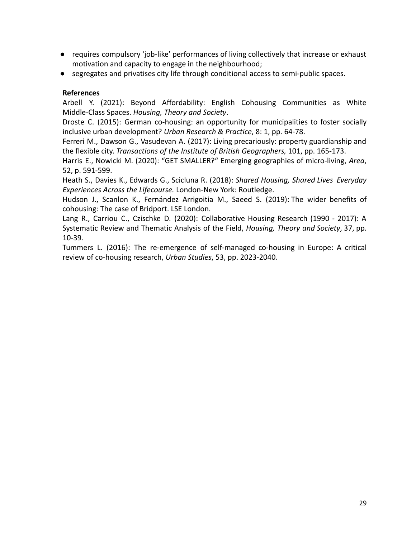- requires compulsory 'job-like' performances of living collectively that increase or exhaust motivation and capacity to engage in the neighbourhood;
- segregates and privatises city life through conditional access to semi-public spaces.

Arbell Y. (2021): Beyond Affordability: English Cohousing Communities as White Middle-Class Spaces. *Housing, Theory and Society*.

Droste C. (2015): German co-housing: an opportunity for municipalities to foster socially inclusive urban development? *Urban Research & Practice*, 8: 1, pp. 64-78.

Ferreri M., Dawson G., Vasudevan A. (2017): Living precariously: property guardianship and the flexible city. *Transactions of the Institute of British Geographers,* 101, pp. 165-173.

Harris E., Nowicki M. (2020): "GET SMALLER?" Emerging geographies of micro‐living, *Area*, 52, p. 591-599.

Heath S., Davies K., Edwards G., Scicluna R. (2018): *Shared Housing, Shared Lives Everyday Experiences Across the Lifecourse.* London-New York: Routledge.

Hudson J., Scanlon K., Fernández Arrigoitia M., Saeed S. (2019): The wider benefits of cohousing: The case of Bridport. LSE London.

Lang R., Carriou C., Czischke D. (2020): Collaborative Housing Research (1990 - 2017): A Systematic Review and Thematic Analysis of the Field, *Housing, Theory and Society*, 37, pp. 10-39.

Tummers L. (2016): The re-emergence of self-managed co-housing in Europe: A critical review of co-housing research, *Urban Studies*, 53, pp. 2023-2040.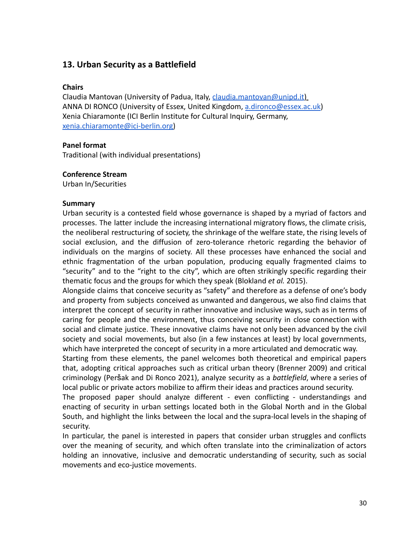# <span id="page-29-0"></span>**13. Urban Security as a Battlefield**

## **Chairs**

Claudia Mantovan (University of Padua, Italy, [claudia.mantovan@unipd.it\)](mailto:claudia.mantovan@unipd.it) ANNA DI RONCO (University of Essex, United Kingdom, [a.dironco@essex.ac.uk](mailto:a.dironco@essex.ac.uk)) Xenia Chiaramonte (ICI Berlin Institute for Cultural Inquiry, Germany, [xenia.chiaramonte@ici-berlin.org\)](mailto:xenia.chiaramonte@ici-berlin.org)

# **Panel format**

Traditional (with individual presentations)

## **Conference Stream**

Urban In/Securities

## **Summary**

Urban security is a contested field whose governance is shaped by a myriad of factors and processes. The latter include the increasing international migratory flows, the climate crisis, the neoliberal restructuring of society, the shrinkage of the welfare state, the rising levels of social exclusion, and the diffusion of zero-tolerance rhetoric regarding the behavior of individuals on the margins of society. All these processes have enhanced the social and ethnic fragmentation of the urban population, producing equally fragmented claims to "security" and to the "right to the city", which are often strikingly specific regarding their thematic focus and the groups for which they speak (Blokland *et al.* 2015).

Alongside claims that conceive security as "safety" and therefore as a defense of one's body and property from subjects conceived as unwanted and dangerous, we also find claims that interpret the concept of security in rather innovative and inclusive ways, such as in terms of caring for people and the environment, thus conceiving security in close connection with social and climate justice. These innovative claims have not only been advanced by the civil society and social movements, but also (in a few instances at least) by local governments, which have interpreted the concept of security in a more articulated and democratic way.

Starting from these elements, the panel welcomes both theoretical and empirical papers that, adopting critical approaches such as critical urban theory (Brenner 2009) and critical criminology (Peršak and Di Ronco 2021), analyze security as a *battlefield*, where a series of local public or private actors mobilize to affirm their ideas and practices around security.

The proposed paper should analyze different - even conflicting - understandings and enacting of security in urban settings located both in the Global North and in the Global South, and highlight the links between the local and the supra-local levels in the shaping of security.

In particular, the panel is interested in papers that consider urban struggles and conflicts over the meaning of security, and which often translate into the criminalization of actors holding an innovative, inclusive and democratic understanding of security, such as social movements and eco-justice movements.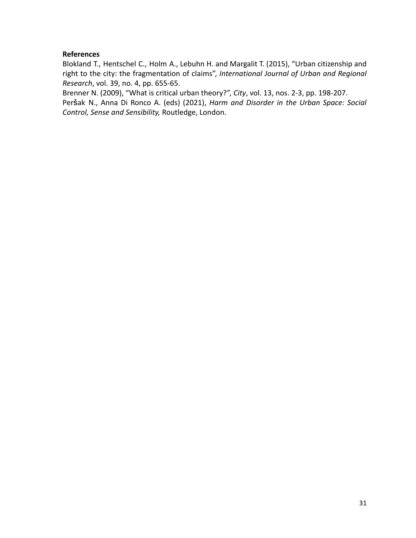Blokland T., Hentschel C., Holm A., Lebuhn H. and Margalit T. (2015), "Urban citizenship and right to the city: the fragmentation of claims", *International Journal of Urban and Regional Research*, vol. 39, no. 4, pp. 655-65.

Brenner N. (2009), "What is critical urban theory?", *City*, vol. 13, nos. 2-3, pp. 198-207. Peršak N., Anna Di Ronco A. (eds) (2021), *Harm and Disorder in the Urban Space: Social Control, Sense and Sensibility,* Routledge, London.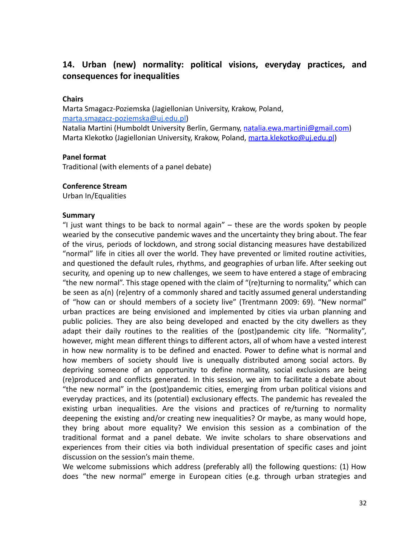# <span id="page-31-0"></span>**14. Urban (new) normality: political visions, everyday practices, and consequences for inequalities**

# **Chairs**

Marta Smagacz-Poziemska (Jagiellonian University, Krakow, Poland, [marta.smagacz-poziemska@uj.edu.pl\)](mailto:poziemska@uj.edu.pl) Natalia Martini (Humboldt University Berlin, Germany, [natalia.ewa.martini@gmail.com\)](mailto:natalia.ewa.martini@gmail.com)

Marta Klekotko (Jagiellonian University, Krakow, Poland, [marta.klekotko@uj.edu.pl](mailto:marta.klekotko@uj.edu.pl))

# **Panel format**

Traditional (with elements of a panel debate)

## **Conference Stream**

Urban In/Equalities

#### **Summary**

"I just want things to be back to normal again"  $-$  these are the words spoken by people wearied by the consecutive pandemic waves and the uncertainty they bring about. The fear of the virus, periods of lockdown, and strong social distancing measures have destabilized "normal" life in cities all over the world. They have prevented or limited routine activities, and questioned the default rules, rhythms, and geographies of urban life. After seeking out security, and opening up to new challenges, we seem to have entered a stage of embracing "the new normal". This stage opened with the claim of "(re)turning to normality," which can be seen as a(n) (re)entry of a commonly shared and tacitly assumed general understanding of "how can or should members of a society live" (Trentmann 2009: 69). "New normal" urban practices are being envisioned and implemented by cities via urban planning and public policies. They are also being developed and enacted by the city dwellers as they adapt their daily routines to the realities of the (post)pandemic city life. "Normality", however, might mean different things to different actors, all of whom have a vested interest in how new normality is to be defined and enacted. Power to define what is normal and how members of society should live is unequally distributed among social actors. By depriving someone of an opportunity to define normality, social exclusions are being (re)produced and conflicts generated. In this session, we aim to facilitate a debate about "the new normal" in the (post)pandemic cities, emerging from urban political visions and everyday practices, and its (potential) exclusionary effects. The pandemic has revealed the existing urban inequalities. Are the visions and practices of re/turning to normality deepening the existing and/or creating new inequalities? Or maybe, as many would hope, they bring about more equality? We envision this session as a combination of the traditional format and a panel debate. We invite scholars to share observations and experiences from their cities via both individual presentation of specific cases and joint discussion on the session's main theme.

We welcome submissions which address (preferably all) the following questions: (1) How does "the new normal" emerge in European cities (e.g. through urban strategies and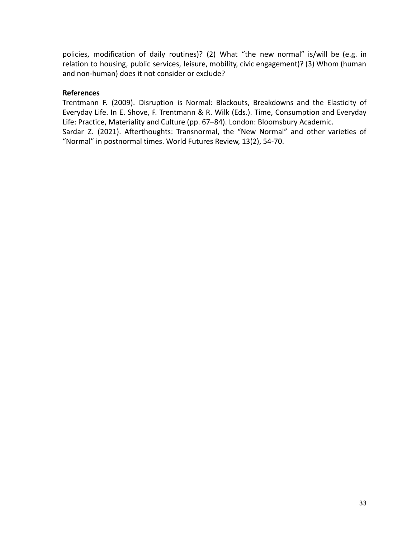policies, modification of daily routines)? (2) What "the new normal" is/will be (e.g. in relation to housing, public services, leisure, mobility, civic engagement)? (3) Whom (human and non-human) does it not consider or exclude?

# **References**

Trentmann F. (2009). Disruption is Normal: Blackouts, Breakdowns and the Elasticity of Everyday Life. In E. Shove, F. Trentmann & R. Wilk (Eds.). Time, Consumption and Everyday Life: Practice, Materiality and Culture (pp. 67–84). London: Bloomsbury Academic. Sardar Z. (2021). Afterthoughts: Transnormal, the "New Normal" and other varieties of "Normal" in postnormal times. World Futures Review, 13(2), 54-70.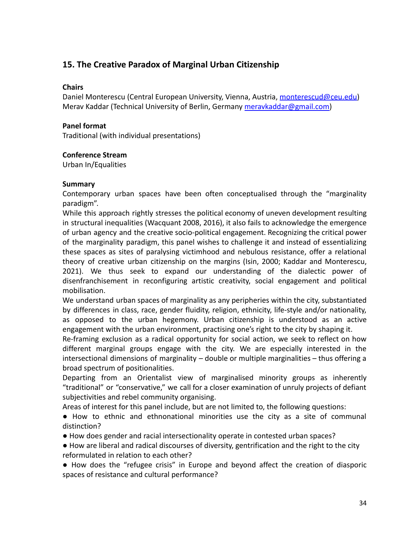# <span id="page-33-0"></span>**15. The Creative Paradox of Marginal Urban Citizenship**

# **Chairs**

Daniel Monterescu (Central European University, Vienna, Austria, [monterescud@ceu.edu\)](mailto:monterescud@ceu.edu) Merav Kaddar (Technical University of Berlin, Germany [meravkaddar@gmail.com\)](mailto:meravkaddar@gmail.com)

# **Panel format**

Traditional (with individual presentations)

# **Conference Stream**

Urban In/Equalities

# **Summary**

Contemporary urban spaces have been often conceptualised through the "marginality paradigm".

While this approach rightly stresses the political economy of uneven development resulting in structural inequalities (Wacquant 2008, 2016), it also fails to acknowledge the emergence of urban agency and the creative socio-political engagement. Recognizing the critical power of the marginality paradigm, this panel wishes to challenge it and instead of essentializing these spaces as sites of paralysing victimhood and nebulous resistance, offer a relational theory of creative urban citizenship on the margins (Isin, 2000; Kaddar and Monterescu, 2021). We thus seek to expand our understanding of the dialectic power of disenfranchisement in reconfiguring artistic creativity, social engagement and political mobilisation.

We understand urban spaces of marginality as any peripheries within the city, substantiated by differences in class, race, gender fluidity, religion, ethnicity, life-style and/or nationality, as opposed to the urban hegemony. Urban citizenship is understood as an active engagement with the urban environment, practising one's right to the city by shaping it.

Re-framing exclusion as a radical opportunity for social action, we seek to reflect on how different marginal groups engage with the city. We are especially interested in the intersectional dimensions of marginality – double or multiple marginalities – thus offering a broad spectrum of positionalities.

Departing from an Orientalist view of marginalised minority groups as inherently "traditional" or "conservative," we call for a closer examination of unruly projects of defiant subjectivities and rebel community organising.

Areas of interest for this panel include, but are not limited to, the following questions:

● How to ethnic and ethnonational minorities use the city as a site of communal distinction?

● How does gender and racial intersectionality operate in contested urban spaces?

● How are liberal and radical discourses of diversity, gentrification and the right to the city reformulated in relation to each other?

● How does the "refugee crisis" in Europe and beyond affect the creation of diasporic spaces of resistance and cultural performance?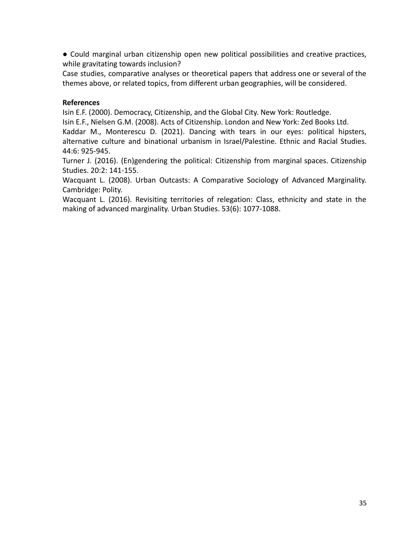● Could marginal urban citizenship open new political possibilities and creative practices, while gravitating towards inclusion?

Case studies, comparative analyses or theoretical papers that address one or several of the themes above, or related topics, from different urban geographies, will be considered.

# **References**

Isin E.F. (2000). Democracy, Citizenship, and the Global City. New York: Routledge.

Isin E.F., Nielsen G.M. (2008). Acts of Citizenship. London and New York: Zed Books Ltd.

Kaddar M., Monterescu D. (2021). Dancing with tears in our eyes: political hipsters, alternative culture and binational urbanism in Israel/Palestine. Ethnic and Racial Studies. 44:6: 925-945.

Turner J. (2016). (En)gendering the political: Citizenship from marginal spaces. Citizenship Studies. 20:2: 141-155.

Wacquant L. (2008). Urban Outcasts: A Comparative Sociology of Advanced Marginality. Cambridge: Polity.

Wacquant L. (2016). Revisiting territories of relegation: Class, ethnicity and state in the making of advanced marginality. Urban Studies. 53(6): 1077-1088.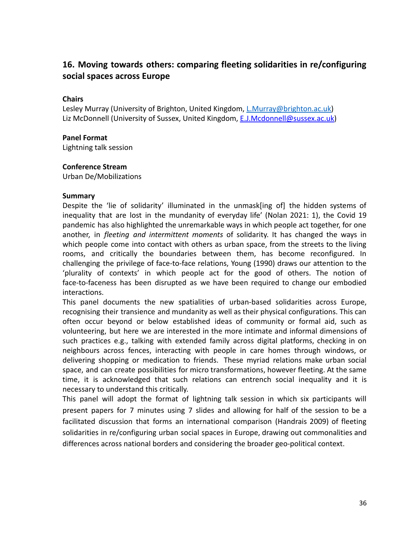# <span id="page-35-0"></span>**16. Moving towards others: comparing fleeting solidarities in re/configuring social spaces across Europe**

# **Chairs**

Lesley Murray (University of Brighton, United Kingdom, [L.Murray@brighton.ac.uk\)](mailto:L.Murray@brighton.ac.uk) Liz McDonnell (University of Sussex, United Kingdom, [E.J.Mcdonnell@sussex.ac.uk](mailto:E.J.Mcdonnell@sussex.ac.uk))

## **Panel Format**

Lightning talk session

## **Conference Stream**

Urban De/Mobilizations

#### **Summary**

Despite the 'lie of solidarity' illuminated in the unmask[ing of] the hidden systems of inequality that are lost in the mundanity of everyday life' (Nolan 2021: 1), the Covid 19 pandemic has also highlighted the unremarkable ways in which people act together, for one another, in *fleeting and intermittent moments* of solidarity. It has changed the ways in which people come into contact with others as urban space, from the streets to the living rooms, and critically the boundaries between them, has become reconfigured. In challenging the privilege of face-to-face relations, Young (1990) draws our attention to the 'plurality of contexts' in which people act for the good of others. The notion of face-to-faceness has been disrupted as we have been required to change our embodied interactions.

This panel documents the new spatialities of urban-based solidarities across Europe, recognising their transience and mundanity as well as their physical configurations. This can often occur beyond or below established ideas of community or formal aid, such as volunteering, but here we are interested in the more intimate and informal dimensions of such practices e.g., talking with extended family across digital platforms, checking in on neighbours across fences, interacting with people in care homes through windows, or delivering shopping or medication to friends. These myriad relations make urban social space, and can create possibilities for micro transformations, however fleeting. At the same time, it is acknowledged that such relations can entrench social inequality and it is necessary to understand this critically.

This panel will adopt the format of lightning talk session in which six participants will present papers for 7 minutes using 7 slides and allowing for half of the session to be a facilitated discussion that forms an international comparison (Handrais 2009) of fleeting solidarities in re/configuring urban social spaces in Europe, drawing out commonalities and differences across national borders and considering the broader geo-political context.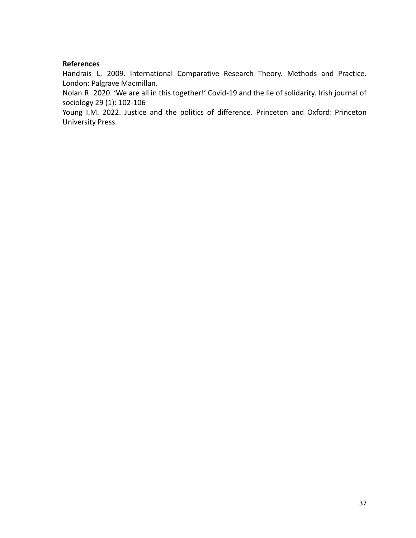Handrais L. 2009. International Comparative Research Theory. Methods and Practice. London: Palgrave Macmillan.

Nolan R. 2020. 'We are all in this together!' Covid-19 and the lie of solidarity. Irish journal of sociology 29 (1): 102-106

Young I.M. 2022. Justice and the politics of difference. Princeton and Oxford: Princeton University Press.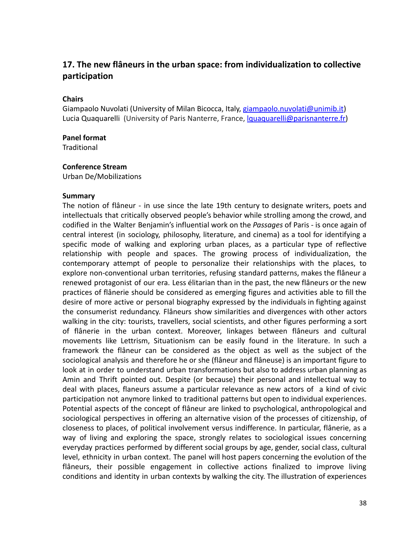# <span id="page-37-0"></span>**17. The new flâneurs in the urban space: from individualization to collective participation**

## **Chairs**

Giampaolo Nuvolati (University of Milan Bicocca, Italy, [giampaolo.nuvolati@unimib.it\)](mailto:giampaolo.nuvolati@unimib.it) Lucia Quaquarelli (University of Paris Nanterre, France, *Iguaquarelli@parisnanterre.fr*)

#### **Panel format**

**Traditional** 

#### **Conference Stream**

Urban De/Mobilizations

#### **Summary**

The notion of flâneur - in use since the late 19th century to designate writers, poets and intellectuals that critically observed people's behavior while strolling among the crowd, and codified in the Walter Benjamin's influential work on the *Passages* of Paris - is once again of central interest (in sociology, philosophy, literature, and cinema) as a tool for identifying a specific mode of walking and exploring urban places, as a particular type of reflective relationship with people and spaces. The growing process of individualization, the contemporary attempt of people to personalize their relationships with the places, to explore non-conventional urban territories, refusing standard patterns, makes the flâneur a renewed protagonist of our era. Less élitarian than in the past, the new flâneurs or the new practices of flânerie should be considered as emerging figures and activities able to fill the desire of more active or personal biography expressed by the individuals in fighting against the consumerist redundancy. Flâneurs show similarities and divergences with other actors walking in the city: tourists, travellers, social scientists, and other figures performing a sort of flânerie in the urban context. Moreover, linkages between flâneurs and cultural movements like Lettrism, Situationism can be easily found in the literature. In such a framework the flâneur can be considered as the object as well as the subject of the sociological analysis and therefore he or she (flâneur and flâneuse) is an important figure to look at in order to understand urban transformations but also to address urban planning as Amin and Thrift pointed out. Despite (or because) their personal and intellectual way to deal with places, flaneurs assume a particular relevance as new actors of a kind of civic participation not anymore linked to traditional patterns but open to individual experiences. Potential aspects of the concept of flâneur are linked to psychological, anthropological and sociological perspectives in offering an alternative vision of the processes of citizenship, of closeness to places, of political involvement versus indifference. In particular, flânerie, as a way of living and exploring the space, strongly relates to sociological issues concerning everyday practices performed by different social groups by age, gender, social class, cultural level, ethnicity in urban context. The panel will host papers concerning the evolution of the flâneurs, their possible engagement in collective actions finalized to improve living conditions and identity in urban contexts by walking the city. The illustration of experiences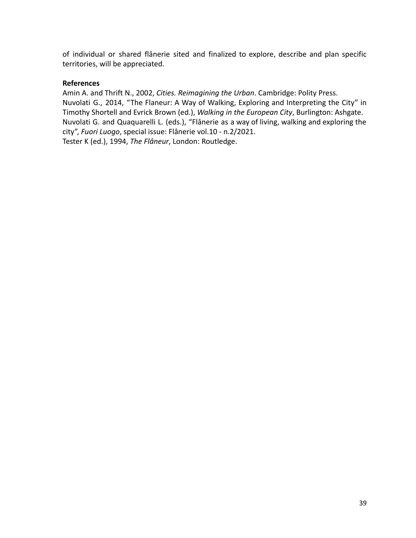of individual or shared flânerie sited and finalized to explore, describe and plan specific territories, will be appreciated.

# **References**

Amin A. and Thrift N., 2002, *Cities. Reimagining the Urban*. Cambridge: Polity Press. Nuvolati G., 2014, "The Flaneur: A Way of Walking, Exploring and Interpreting the City" in Timothy Shortell and Evrick Brown (ed.), *Walking in the European City*, Burlington: Ashgate. Nuvolati G. and Quaquarelli L. (eds.), "Flânerie as a way of living, walking and exploring the city", *Fuori Luogo*, special issue: Flânerie vol.10 - n.2/2021. Tester K (ed.), 1994, *The Flâneur*, London: Routledge.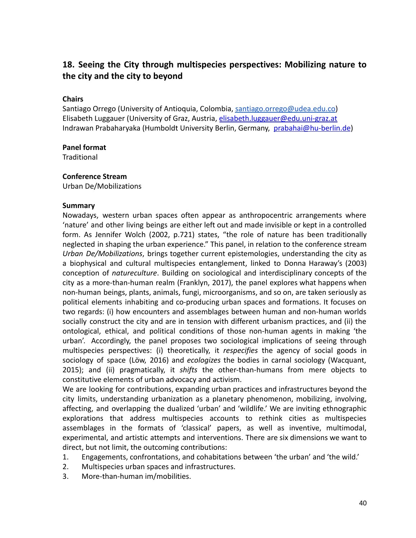# <span id="page-39-0"></span>**18. Seeing the City through multispecies perspectives: Mobilizing nature to the city and the city to beyond**

# **Chairs**

Santiago Orrego (University of Antioquia, Colombia, [santiago.orrego@udea.edu.co\)](mailto:santiago.orrego@udea.edu.co) Elisabeth Luggauer (University of Graz, Austria, [elisabeth.luggauer@edu.uni-graz.at](mailto:elisabeth.luggauer@edu.uni-graz.at) Indrawan Prabaharyaka (Humboldt University Berlin, Germany, [prabahai@hu-berlin.de](mailto:prabahai@hu-berlin.de))

## **Panel format**

**Traditional** 

#### **Conference Stream**

Urban De/Mobilizations

#### **Summary**

Nowadays, western urban spaces often appear as anthropocentric arrangements where 'nature' and other living beings are either left out and made invisible or kept in a controlled form. As Jennifer Wolch (2002, p.721) states, "the role of nature has been traditionally neglected in shaping the urban experience." This panel, in relation to the conference stream *Urban De/Mobilizations*, brings together current epistemologies, understanding the city as a biophysical and cultural multispecies entanglement, linked to Donna Haraway's (2003) conception of *natureculture*. Building on sociological and interdisciplinary concepts of the city as a more-than-human realm (Franklyn, 2017), the panel explores what happens when non-human beings, plants, animals, fungi, microorganisms, and so on, are taken seriously as political elements inhabiting and co-producing urban spaces and formations. It focuses on two regards: (i) how encounters and assemblages between human and non-human worlds socially construct the city and are in tension with different urbanism practices, and (ii) the ontological, ethical, and political conditions of those non-human agents in making 'the urban'. Accordingly, the panel proposes two sociological implications of seeing through multispecies perspectives: (i) theoretically, it *respecifies* the agency of social goods in sociology of space (Löw, 2016) and *ecologizes* the bodies in carnal sociology (Wacquant, 2015); and (ii) pragmatically, it *shifts* the other-than-humans from mere objects to constitutive elements of urban advocacy and activism.

We are looking for contributions, expanding urban practices and infrastructures beyond the city limits, understanding urbanization as a planetary phenomenon, mobilizing, involving, affecting, and overlapping the dualized 'urban' and 'wildlife.' We are inviting ethnographic explorations that address multispecies accounts to rethink cities as multispecies assemblages in the formats of 'classical' papers, as well as inventive, multimodal, experimental, and artistic attempts and interventions. There are six dimensions we want to direct, but not limit, the outcoming contributions:

- 1. Engagements, confrontations, and cohabitations between 'the urban' and 'the wild.'
- 2. Multispecies urban spaces and infrastructures.
- 3. More-than-human im/mobilities.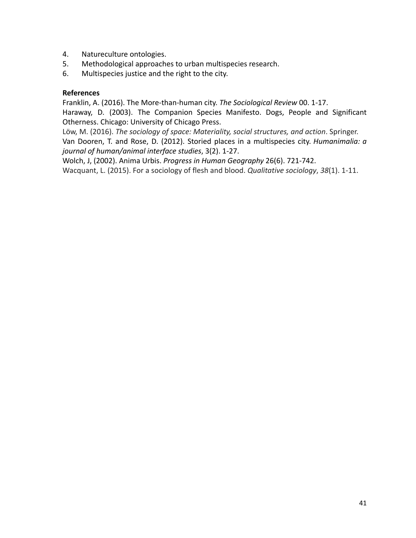- 4. Natureculture ontologies.
- 5. Methodological approaches to urban multispecies research.
- 6. Multispecies justice and the right to the city.

Franklin, A. (2016). The More-than-human city. *The Sociological Review* 00. 1-17.

Haraway, D. (2003). The Companion Species Manifesto. Dogs, People and Significant Otherness. Chicago: University of Chicago Press.

Löw, M. (2016). *The sociology of space: Materiality, social structures, and action*. Springer. Van Dooren, T. and Rose, D. (2012). Storied places in a multispecies city. *Humanimalia: a journal of human/animal interface studies*, 3(2). 1-27.

Wolch, J, (2002). Anima Urbis. *Progress in Human Geography* 26(6). 721-742. Wacquant, L. (2015). For a sociology of flesh and blood. *Qualitative sociology*, *38*(1). 1-11.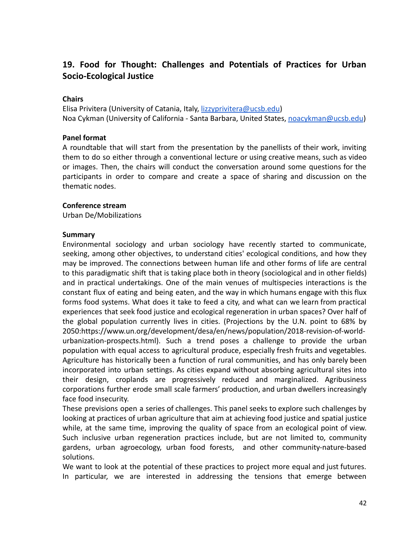# <span id="page-41-0"></span>**19. Food for Thought: Challenges and Potentials of Practices for Urban Socio-Ecological Justice**

# **Chairs**

Elisa Privitera (University of Catania, Italy, [lizzyprivitera@ucsb.edu](mailto:lizzyprivitera@ucsb.edu)) Noa Cykman (University of California - Santa Barbara, United States, [noacykman@ucsb.edu](mailto:noacykman@ucsb.edu))

### **Panel format**

A roundtable that will start from the presentation by the panellists of their work, inviting them to do so either through a conventional lecture or using creative means, such as video or images. Then, the chairs will conduct the conversation around some questions for the participants in order to compare and create a space of sharing and discussion on the thematic nodes.

#### **Conference stream**

Urban De/Mobilizations

#### **Summary**

Environmental sociology and urban sociology have recently started to communicate, seeking, among other objectives, to understand cities' ecological conditions, and how they may be improved. The connections between human life and other forms of life are central to this paradigmatic shift that is taking place both in theory (sociological and in other fields) and in practical undertakings. One of the main venues of multispecies interactions is the constant flux of eating and being eaten, and the way in which humans engage with this flux forms food systems. What does it take to feed a city, and what can we learn from practical experiences that seek food justice and ecological regeneration in urban spaces? Over half of the global population currently lives in cities. (Projections by the U.N. point to 68% by 2050:https://www.un.org/development/desa/en/news/population/2018-revision-of-worldurbanization-prospects.html). Such a trend poses a challenge to provide the urban population with equal access to agricultural produce, especially fresh fruits and vegetables. Agriculture has historically been a function of rural communities, and has only barely been incorporated into urban settings. As cities expand without absorbing agricultural sites into their design, croplands are progressively reduced and marginalized. Agribusiness corporations further erode small scale farmers' production, and urban dwellers increasingly face food insecurity.

These previsions open a series of challenges. This panel seeks to explore such challenges by looking at practices of urban agriculture that aim at achieving food justice and spatial justice while, at the same time, improving the quality of space from an ecological point of view. Such inclusive urban regeneration practices include, but are not limited to, community gardens, urban agroecology, urban food forests, and other community-nature-based solutions.

We want to look at the potential of these practices to project more equal and just futures. In particular, we are interested in addressing the tensions that emerge between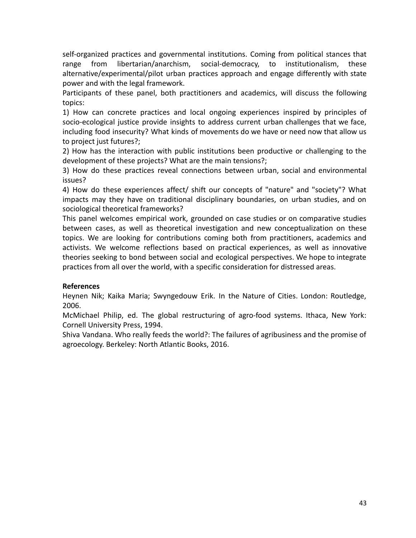self-organized practices and governmental institutions. Coming from political stances that range from libertarian/anarchism, social-democracy, to institutionalism, these alternative/experimental/pilot urban practices approach and engage differently with state power and with the legal framework.

Participants of these panel, both practitioners and academics, will discuss the following topics:

1) How can concrete practices and local ongoing experiences inspired by principles of socio-ecological justice provide insights to address current urban challenges that we face, including food insecurity? What kinds of movements do we have or need now that allow us to project just futures?;

2) How has the interaction with public institutions been productive or challenging to the development of these projects? What are the main tensions?;

3) How do these practices reveal connections between urban, social and environmental issues?

4) How do these experiences affect/ shift our concepts of "nature" and "society"? What impacts may they have on traditional disciplinary boundaries, on urban studies, and on sociological theoretical frameworks?

This panel welcomes empirical work, grounded on case studies or on comparative studies between cases, as well as theoretical investigation and new conceptualization on these topics. We are looking for contributions coming both from practitioners, academics and activists. We welcome reflections based on practical experiences, as well as innovative theories seeking to bond between social and ecological perspectives. We hope to integrate practices from all over the world, with a specific consideration for distressed areas.

# **References**

Heynen Nik; Kaika Maria; Swyngedouw Erik. In the Nature of Cities. London: Routledge, 2006.

McMichael Philip, ed. The global restructuring of agro-food systems. Ithaca, New York: Cornell University Press, 1994.

Shiva Vandana. Who really feeds the world?: The failures of agribusiness and the promise of agroecology. Berkeley: North Atlantic Books, 2016.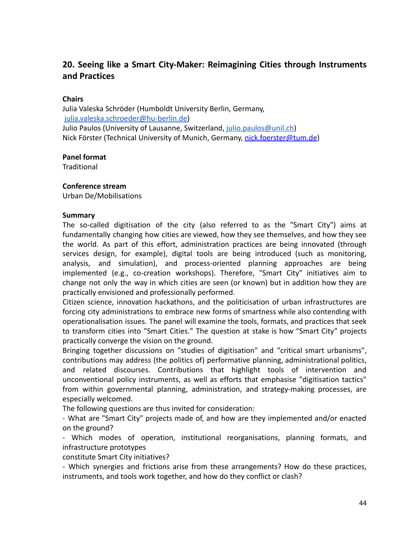# <span id="page-43-0"></span>**20. Seeing like a Smart City-Maker: Reimagining Cities through Instruments and Practices**

# **Chairs**

Julia Valeska Schröder (Humboldt University Berlin, Germany, [julia.valeska.schroeder@hu-berlin.de\)](mailto:julia.valeska.schroeder@hu-berlin.de) Julio Paulos (University of Lausanne, Switzerland, [julio.paulos@unil.ch\)](mailto:julio.paulos@unil.ch) Nick Förster (Technical University of Munich, Germany, [nick.foerster@tum.de\)](mailto:nick.foerster@tum.de)

## **Panel format**

**Traditional** 

#### **Conference stream**

Urban De/Mobilisations

#### **Summary**

The so-called digitisation of the city (also referred to as the "Smart City") aims at fundamentally changing how cities are viewed, how they see themselves, and how they see the world. As part of this effort, administration practices are being innovated (through services design, for example), digital tools are being introduced (such as monitoring, analysis, and simulation), and process-oriented planning approaches are being implemented (e.g., co-creation workshops). Therefore, "Smart City" initiatives aim to change not only the way in which cities are seen (or known) but in addition how they are practically envisioned and professionally performed.

Citizen science, innovation hackathons, and the politicisation of urban infrastructures are forcing city administrations to embrace new forms of smartness while also contending with operationalisation issues. The panel will examine the tools, formats, and practices that seek to transform cities into "Smart Cities." The question at stake is how "Smart City" projects practically converge the vision on the ground.

Bringing together discussions on "studies of digitisation" and "critical smart urbanisms", contributions may address (the politics of) performative planning, administrational politics, and related discourses. Contributions that highlight tools of intervention and unconventional policy instruments, as well as efforts that emphasise "digitisation tactics" from within governmental planning, administration, and strategy-making processes, are especially welcomed.

The following questions are thus invited for consideration:

- What are "Smart City" projects made of, and how are they implemented and/or enacted on the ground?

- Which modes of operation, institutional reorganisations, planning formats, and infrastructure prototypes

constitute Smart City initiatives?

- Which synergies and frictions arise from these arrangements? How do these practices, instruments, and tools work together, and how do they conflict or clash?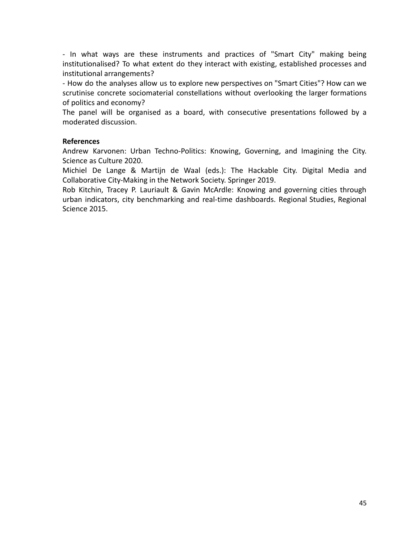- In what ways are these instruments and practices of "Smart City" making being institutionalised? To what extent do they interact with existing, established processes and institutional arrangements?

- How do the analyses allow us to explore new perspectives on "Smart Cities"? How can we scrutinise concrete sociomaterial constellations without overlooking the larger formations of politics and economy?

The panel will be organised as a board, with consecutive presentations followed by a moderated discussion.

## **References**

Andrew Karvonen: Urban Techno-Politics: Knowing, Governing, and Imagining the City. Science as Culture 2020.

Michiel De Lange & Martijn de Waal (eds.): The Hackable City. Digital Media and Collaborative City-Making in the Network Society. Springer 2019.

Rob Kitchin, Tracey P. Lauriault & Gavin McArdle: Knowing and governing cities through urban indicators, city benchmarking and real-time dashboards. Regional Studies, Regional Science 2015.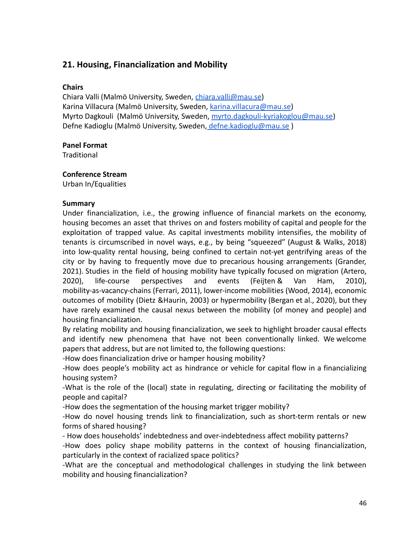# <span id="page-45-0"></span>**21. Housing, Financialization and Mobility**

# **Chairs**

Chiara Valli (Malmö University, Sweden, [chiara.valli@mau.se\)](mailto:chiara.valli@mau.se) Karina Villacura (Malmö University, Sweden, [karina.villacura@mau.se](mailto:karina.villacura@mau.se)) Myrto Dagkouli (Malmö University, Sweden, [myrto.dagkouli-kyriakoglou@mau.se](mailto:myrto.dagkouli-kyriakoglou@mau.se)) Defne Kadioglu (Malmö University, Sweden, [defne.kadioglu@mau.se](mailto:defne.kadioglu@mau.se))

# **Panel Format**

**Traditional** 

# **Conference Stream**

Urban In/Equalities

# **Summary**

Under financialization, i.e., the growing influence of financial markets on the economy, housing becomes an asset that thrives on and fosters mobility of capital and people for the exploitation of trapped value. As capital investments mobility intensifies, the mobility of tenants is circumscribed in novel ways, e.g., by being "squeezed" (August & Walks, 2018) into low-quality rental housing, being confined to certain not-yet gentrifying areas of the city or by having to frequently move due to precarious housing arrangements (Grander, 2021). Studies in the field of housing mobility have typically focused on migration (Artero, 2020), life-course perspectives and events (Feijten & Van Ham, 2010), mobility-as-vacancy-chains (Ferrari, 2011), lower-income mobilities (Wood, 2014), economic outcomes of mobility (Dietz &Haurin, 2003) or hypermobility (Bergan et al., 2020), but they have rarely examined the causal nexus between the mobility (of money and people) and housing financialization.

By relating mobility and housing financialization, we seek to highlight broader causal effects and identify new phenomena that have not been conventionally linked. We welcome papers that address, but are not limited to, the following questions:

-How does financialization drive or hamper housing mobility?

-How does people's mobility act as hindrance or vehicle for capital flow in a financializing housing system?

-What is the role of the (local) state in regulating, directing or facilitating the mobility of people and capital?

-How does the segmentation of the housing market trigger mobility?

-How do novel housing trends link to financialization, such as short-term rentals or new forms of shared housing?

- How does households' indebtedness and over-indebtedness affect mobility patterns?

-How does policy shape mobility patterns in the context of housing financialization, particularly in the context of racialized space politics?

-What are the conceptual and methodological challenges in studying the link between mobility and housing financialization?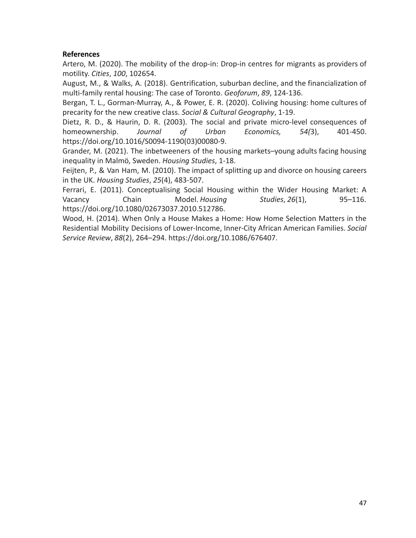Artero, M. (2020). The mobility of the drop-in: Drop-in centres for migrants as providers of motility. *Cities*, *100*, 102654.

August, M., & Walks, A. (2018). Gentrification, suburban decline, and the financialization of multi-family rental housing: The case of Toronto. *Geoforum*, *89*, 124-136.

Bergan, T. L., Gorman-Murray, A., & Power, E. R. (2020). Coliving housing: home cultures of precarity for the new creative class. *Social & Cultural Geography*, 1-19.

Dietz, R. D., & Haurin, D. R. (2003). The social and private micro-level consequences of homeownership. *Journal of Urban Economics, 54(*3), 401-450. [https://doi.org/10.1016/S0094-1190\(03\)00080-9.](https://doi.org/10.1016/S0094-1190(03)00080-9)

Grander, M. (2021). The inbetweeners of the housing markets–young adults facing housing inequality in Malmö, Sweden. *Housing Studies*, 1-18.

Feijten, P., & Van Ham, M. (2010). The impact of splitting up and divorce on housing careers in the UK. *Housing Studies*, *25*(4), 483-507.

Ferrari, E. (2011). Conceptualising Social Housing within the Wider Housing Market: A Vacancy Chain Model. *Housing Studies*, *26*(1), 95–116. [https://doi.org/10.1080/02673037.2010.512786.](https://doi.org/10.1080/02673037.2010.512786)

Wood, H. (2014). When Only a House Makes a Home: How Home Selection Matters in the Residential Mobility Decisions of Lower-Income, Inner-City African American Families. *Social Service Review*, *88*(2), 264–294. [https://doi.org/10.1086/676407.](https://doi.org/10.1086/676407)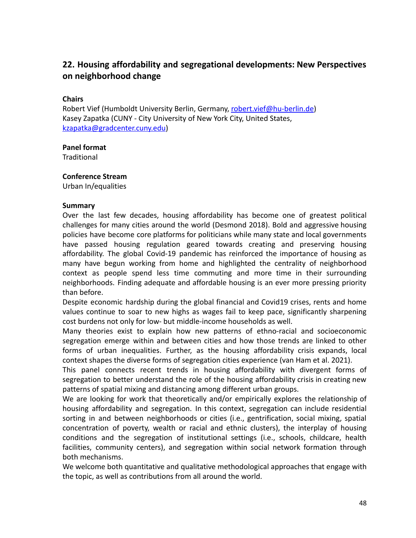# <span id="page-47-0"></span>**22. Housing affordability and segregational developments: New Perspectives on neighborhood change**

## **Chairs**

Robert Vief (Humboldt University Berlin, Germany, [robert.vief@hu-berlin.de](mailto:robert.vief@hu-berlin.de)) Kasey Zapatka (CUNY - City University of New York City, United States, [kzapatka@gradcenter.cuny.edu](mailto:kzapatka@gradcenter.cuny.edu))

## **Panel format**

**Traditional** 

#### **Conference Stream**

Urban In/equalities

#### **Summary**

Over the last few decades, housing affordability has become one of greatest political challenges for many cities around the world (Desmond 2018). Bold and aggressive housing policies have become core platforms for politicians while many state and local governments have passed housing regulation geared towards creating and preserving housing affordability. The global Covid-19 pandemic has reinforced the importance of housing as many have begun working from home and highlighted the centrality of neighborhood context as people spend less time commuting and more time in their surrounding neighborhoods. Finding adequate and affordable housing is an ever more pressing priority than before.

Despite economic hardship during the global financial and Covid19 crises, rents and home values continue to soar to new highs as wages fail to keep pace, significantly sharpening cost burdens not only for low- but middle-income households as well.

Many theories exist to explain how new patterns of ethno-racial and socioeconomic segregation emerge within and between cities and how those trends are linked to other forms of urban inequalities. Further, as the housing affordability crisis expands, local context shapes the diverse forms of segregation cities experience (van Ham et al. 2021).

This panel connects recent trends in housing affordability with divergent forms of segregation to better understand the role of the housing affordability crisis in creating new patterns of spatial mixing and distancing among different urban groups.

We are looking for work that theoretically and/or empirically explores the relationship of housing affordability and segregation. In this context, segregation can include residential sorting in and between neighborhoods or cities (i.e., gentrification, social mixing, spatial concentration of poverty, wealth or racial and ethnic clusters), the interplay of housing conditions and the segregation of institutional settings (i.e., schools, childcare, health facilities, community centers), and segregation within social network formation through both mechanisms.

We welcome both quantitative and qualitative methodological approaches that engage with the topic, as well as contributions from all around the world.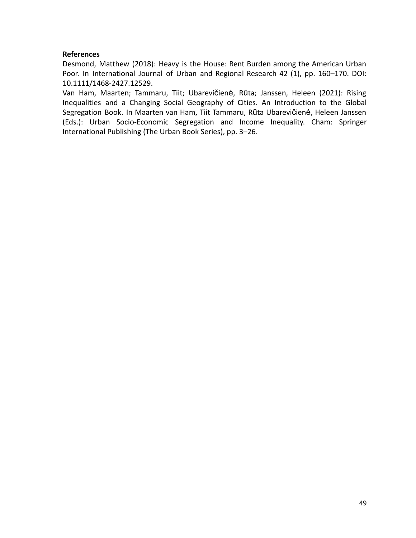Desmond, Matthew (2018): Heavy is the House: Rent Burden among the American Urban Poor. In International Journal of Urban and Regional Research 42 (1), pp. 160–170. DOI: 10.1111/1468-2427.12529.

Van Ham, Maarten; Tammaru, Tiit; Ubarevičienė, Rūta; Janssen, Heleen (2021): Rising Inequalities and a Changing Social Geography of Cities. An Introduction to the Global Segregation Book. In Maarten van Ham, Tiit Tammaru, Rūta Ubarevičienė, Heleen Janssen (Eds.): Urban Socio-Economic Segregation and Income Inequality. Cham: Springer International Publishing (The Urban Book Series), pp. 3–26.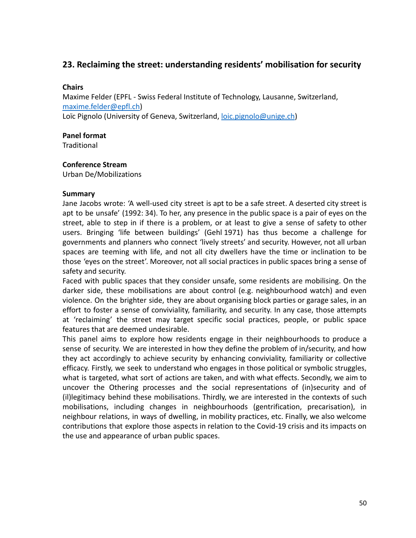# <span id="page-49-0"></span>**23. Reclaiming the street: understanding residents' mobilisation for security**

# **Chairs**

Maxime Felder (EPFL - Swiss Federal Institute of Technology, Lausanne, Switzerland, [maxime.felder@epfl.ch\)](mailto:maxime.felder@epfl.ch) Loïc Pignolo (University of Geneva, Switzerland, [loic.pignolo@unige.ch](mailto:loic.pignolo@unige.ch))

## **Panel format**

**Traditional** 

## **Conference Stream**

Urban De/Mobilizations

## **Summary**

Jane Jacobs wrote: 'A well-used city street is apt to be a safe street. A deserted city street is apt to be unsafe' (1992: 34). To her, any presence in the public space is a pair of eyes on the street, able to step in if there is a problem, or at least to give a sense of safety to other users. Bringing 'life between buildings' (Gehl 1971) has thus become a challenge for governments and planners who connect 'lively streets' and security. However, not all urban spaces are teeming with life, and not all city dwellers have the time or inclination to be those 'eyes on the street'. Moreover, not all social practices in public spaces bring a sense of safety and security.

Faced with public spaces that they consider unsafe, some residents are mobilising. On the darker side, these mobilisations are about control (e.g. neighbourhood watch) and even violence. On the brighter side, they are about organising block parties or garage sales, in an effort to foster a sense of conviviality, familiarity, and security. In any case, those attempts at 'reclaiming' the street may target specific social practices, people, or public space features that are deemed undesirable.

This panel aims to explore how residents engage in their neighbourhoods to produce a sense of security. We are interested in how they define the problem of in/security, and how they act accordingly to achieve security by enhancing conviviality, familiarity or collective efficacy. Firstly, we seek to understand who engages in those political or symbolic struggles, what is targeted, what sort of actions are taken, and with what effects. Secondly, we aim to uncover the Othering processes and the social representations of (in)security and of (il)legitimacy behind these mobilisations. Thirdly, we are interested in the contexts of such mobilisations, including changes in neighbourhoods (gentrification, precarisation), in neighbour relations, in ways of dwelling, in mobility practices, etc. Finally, we also welcome contributions that explore those aspects in relation to the Covid-19 crisis and its impacts on the use and appearance of urban public spaces.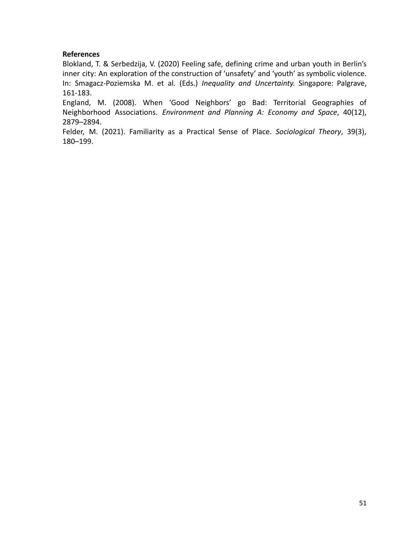Blokland, T. & Serbedzija, V. (2020) Feeling safe, defining crime and urban youth in Berlin's inner city: An exploration of the construction of 'unsafety' and 'youth' as symbolic violence. In: Smagacz-Poziemska M. et al. (Eds.) *Inequality and Uncertainty.* Singapore: Palgrave, 161-183.

England, M. (2008). When 'Good Neighbors' go Bad: Territorial Geographies of Neighborhood Associations. *Environment and Planning A: Economy and Space*, 40(12), 2879–2894.

Felder, M. (2021). Familiarity as a Practical Sense of Place. *Sociological Theory*, 39(3), 180–199.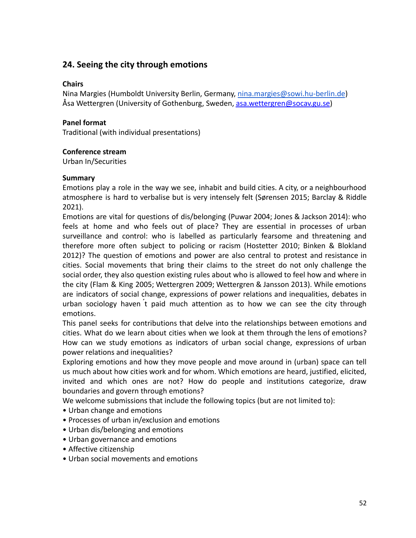# <span id="page-51-0"></span>**24. Seeing the city through emotions**

## **Chairs**

Nina Margies (Humboldt University Berlin, Germany, [nina.margies@sowi.hu-berlin.de](mailto:nina.margies@sowi.hu-berlin.de)) Åsa Wettergren (University of Gothenburg, Sweden, [asa.wettergren@socav.gu.se\)](mailto:asa.wettergren@socav.gu.se)

# **Panel format**

Traditional (with individual presentations)

#### **Conference stream**

Urban In/Securities

#### **Summary**

Emotions play a role in the way we see, inhabit and build cities. A city, or a neighbourhood atmosphere is hard to verbalise but is very intensely felt (Sørensen 2015; Barclay & Riddle 2021).

Emotions are vital for questions of dis/belonging (Puwar 2004; Jones & Jackson 2014): who feels at home and who feels out of place? They are essential in processes of urban surveillance and control: who is labelled as particularly fearsome and threatening and therefore more often subject to policing or racism (Hostetter 2010; Binken & Blokland 2012)? The question of emotions and power are also central to protest and resistance in cities. Social movements that bring their claims to the street do not only challenge the social order, they also question existing rules about who is allowed to feel how and where in the city (Flam & King 2005; Wettergren 2009; Wettergren & Jansson 2013). While emotions are indicators of social change, expressions of power relations and inequalities, debates in urban sociology haven ́t paid much attention as to how we can see the city through emotions.

This panel seeks for contributions that delve into the relationships between emotions and cities. What do we learn about cities when we look at them through the lens of emotions? How can we study emotions as indicators of urban social change, expressions of urban power relations and inequalities?

Exploring emotions and how they move people and move around in (urban) space can tell us much about how cities work and for whom. Which emotions are heard, justified, elicited, invited and which ones are not? How do people and institutions categorize, draw boundaries and govern through emotions?

We welcome submissions that include the following topics (but are not limited to):

- Urban change and emotions
- Processes of urban in/exclusion and emotions
- Urban dis/belonging and emotions
- Urban governance and emotions
- Affective citizenship
- Urban social movements and emotions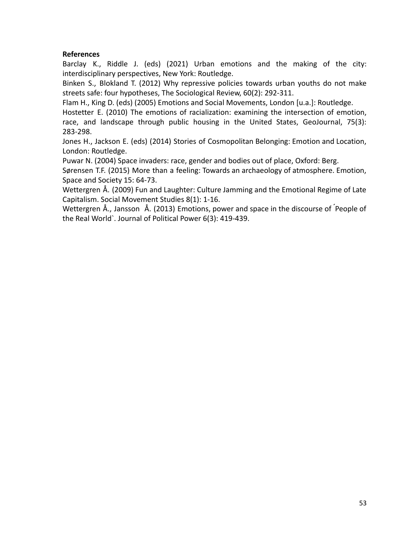Barclay K., Riddle J. (eds) (2021) Urban emotions and the making of the city: interdisciplinary perspectives, New York: Routledge.

Binken S., Blokland T. (2012) Why repressive policies towards urban youths do not make streets safe: four hypotheses, The Sociological Review, 60(2): 292-311.

Flam H., King D. (eds) (2005) Emotions and Social Movements, London [u.a.]: Routledge.

Hostetter E. (2010) The emotions of racialization: examining the intersection of emotion, race, and landscape through public housing in the United States, GeoJournal, 75(3): 283-298.

Jones H., Jackson E. (eds) (2014) Stories of Cosmopolitan Belonging: Emotion and Location, London: Routledge.

Puwar N. (2004) Space invaders: race, gender and bodies out of place, Oxford: Berg.

Sørensen T.F. (2015) More than a feeling: Towards an archaeology of atmosphere. Emotion, Space and Society 15: 64-73.

Wettergren Å. (2009) Fun and Laughter: Culture Jamming and the Emotional Regime of Late Capitalism. Social Movement Studies 8(1): 1-16.

Wettergren Å., Jansson Å. (2013) Emotions, power and space in the discourse of ́People of the Real World`. Journal of Political Power 6(3): 419-439.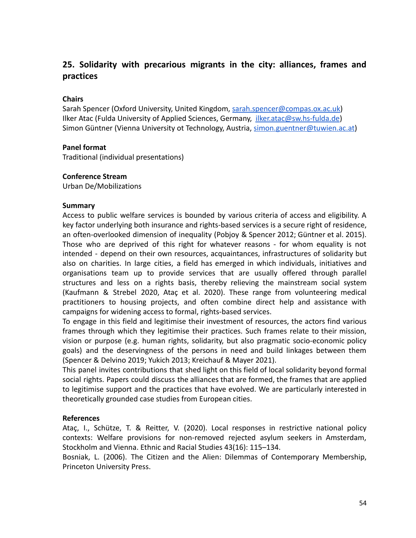# <span id="page-53-0"></span>**25. Solidarity with precarious migrants in the city: alliances, frames and practices**

# **Chairs**

Sarah Spencer (Oxford University, United Kingdom, sarah.spencer@compas.ox.ac.uk) Ilker Atac (Fulda University of Applied Sciences, Germany, ilker.atac@sw.hs-fulda.de) Simon Güntner (Vienna University ot Technology, Austria, [simon.guentner@tuwien.ac.at](mailto:simon.guentner@tuwien.ac.at))

## **Panel format**

Traditional (individual presentations)

#### **Conference Stream**

Urban De/Mobilizations

#### **Summary**

Access to public welfare services is bounded by various criteria of access and eligibility. A key factor underlying both insurance and rights-based services is a secure right of residence, an often-overlooked dimension of inequality (Pobjoy & Spencer 2012; Güntner et al. 2015). Those who are deprived of this right for whatever reasons - for whom equality is not intended - depend on their own resources, acquaintances, infrastructures of solidarity but also on charities. In large cities, a field has emerged in which individuals, initiatives and organisations team up to provide services that are usually offered through parallel structures and less on a rights basis, thereby relieving the mainstream social system (Kaufmann & Strebel 2020, Ataç et al. 2020). These range from volunteering medical practitioners to housing projects, and often combine direct help and assistance with campaigns for widening access to formal, rights-based services.

To engage in this field and legitimise their investment of resources, the actors find various frames through which they legitimise their practices. Such frames relate to their mission, vision or purpose (e.g. human rights, solidarity, but also pragmatic socio-economic policy goals) and the deservingness of the persons in need and build linkages between them (Spencer & Delvino 2019; Yukich 2013; Kreichauf & Mayer 2021).

This panel invites contributions that shed light on this field of local solidarity beyond formal social rights. Papers could discuss the alliances that are formed, the frames that are applied to legitimise support and the practices that have evolved. We are particularly interested in theoretically grounded case studies from European cities.

## **References**

Ataç, I., Schütze, T. & Reitter, V. (2020). Local responses in restrictive national policy contexts: Welfare provisions for non-removed rejected asylum seekers in Amsterdam, Stockholm and Vienna. Ethnic and Racial Studies 43(16): 115–134.

Bosniak, L. (2006). The Citizen and the Alien: Dilemmas of Contemporary Membership, Princeton University Press.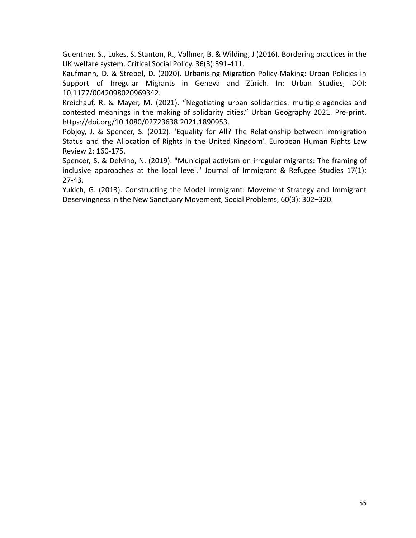Guentner, S., Lukes, S. Stanton, R., Vollmer, B. & Wilding, J (2016). Bordering practices in the UK welfare system. Critical Social Policy. 36(3):391-411.

Kaufmann, D. & Strebel, D. (2020). Urbanising Migration Policy-Making: Urban Policies in Support of Irregular Migrants in Geneva and Zürich. In: Urban Studies, DOI: 10.1177/0042098020969342.

Kreichauf, R. & Mayer, M. (2021). "Negotiating urban solidarities: multiple agencies and contested meanings in the making of solidarity cities." Urban Geography 2021. Pre-print. [https://doi.org/10.1080/02723638.2021.1890953.](https://doi.org/10.1080/02723638.2021.1890953)

Pobjoy, J. & Spencer, S. (2012). 'Equality for All? The Relationship between Immigration Status and the Allocation of Rights in the United Kingdom'. European Human Rights Law Review 2: 160-175.

Spencer, S. & Delvino, N. (2019). "Municipal activism on irregular migrants: The framing of inclusive approaches at the local level." Journal of Immigrant & Refugee Studies 17(1): 27-43.

Yukich, G. (2013). Constructing the Model Immigrant: Movement Strategy and Immigrant Deservingness in the New Sanctuary Movement, Social Problems, 60(3): 302–320.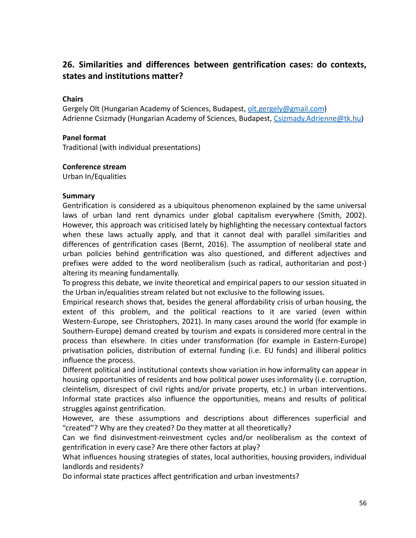# <span id="page-55-0"></span>**26. Similarities and differences between gentrification cases: do contexts, states and institutions matter?**

# **Chairs**

Gergely Olt (Hungarian Academy of Sciences, Budapest, [olt.gergely@gmail.com](mailto:olt.gergely@gmail.com)) Adrienne Csizmady (Hungarian Academy of Sciences, Budapest, [Csizmady.Adrienne@tk.hu\)](mailto:Csizmady.Adrienne@tk.hu)

## **Panel format**

Traditional (with individual presentations)

#### **Conference stream**

Urban In/Equalities

#### **Summary**

Gentrification is considered as a ubiquitous phenomenon explained by the same universal laws of urban land rent dynamics under global capitalism everywhere (Smith, 2002). However, this approach was criticised lately by highlighting the necessary contextual factors when these laws actually apply, and that it cannot deal with parallel similarities and differences of gentrification cases (Bernt, 2016). The assumption of neoliberal state and urban policies behind gentrification was also questioned, and different adjectives and prefixes were added to the word neoliberalism (such as radical, authoritarian and post-) altering its meaning fundamentally.

To progress this debate, we invite theoretical and empirical papers to our session situated in the Urban in/equalities stream related but not exclusive to the following issues.

Empirical research shows that, besides the general affordability crisis of urban housing, the extent of this problem, and the political reactions to it are varied (even within Western-Europe, see Christophers, 2021). In many cases around the world (for example in Southern-Europe) demand created by tourism and expats is considered more central in the process than elsewhere. In cities under transformation (for example in Eastern-Europe) privatisation policies, distribution of external funding (i.e. EU funds) and illiberal politics influence the process.

Different political and institutional contexts show variation in how informality can appear in housing opportunities of residents and how political power uses informality (i.e. corruption, cleintelism, disrespect of civil rights and/or private property, etc.) in urban interventions. Informal state practices also influence the opportunities, means and results of political struggles against gentrification.

However, are these assumptions and descriptions about differences superficial and "created"? Why are they created? Do they matter at all theoretically?

Can we find disinvestment-reinvestment cycles and/or neoliberalism as the context of gentrification in every case? Are there other factors at play?

What influences housing strategies of states, local authorities, housing providers, individual landlords and residents?

Do informal state practices affect gentrification and urban investments?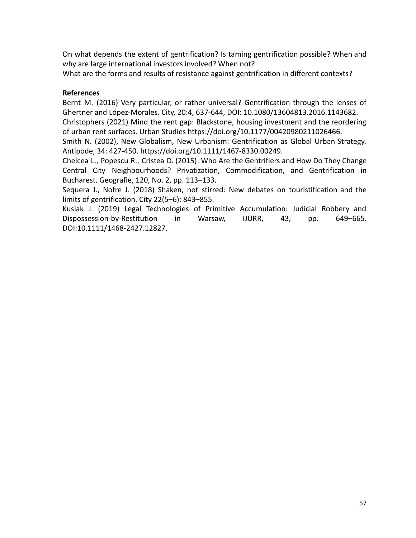On what depends the extent of gentrification? Is taming gentrification possible? When and why are large international investors involved? When not?

What are the forms and results of resistance against gentrification in different contexts?

# **References**

Bernt M. (2016) Very particular, or rather universal? Gentrification through the lenses of Ghertner and López-Morales. City, 20:4, 637-644, DOI: 10.1080/13604813.2016.1143682.

Christophers (2021) Mind the rent gap: Blackstone, housing investment and the reordering of urban rent surfaces. Urban Studies https://doi.org/10.1177/00420980211026466.

Smith N. (2002), New Globalism, New Urbanism: Gentrification as Global Urban Strategy. Antipode, 34: 427-450. [https://doi.org/10.1111/1467-8330.00249.](https://doi.org/10.1111/1467-8330.00249)

Chelcea L., Popescu R., Cristea D. (2015): Who Are the Gentrifiers and How Do They Change Central City Neighbourhoods? Privatization, Commodification, and Gentrification in Bucharest. Geografie, 120, No. 2, pp. 113–133.

Sequera J., Nofre J. (2018) Shaken, not stirred: New debates on touristification and the limits of gentrification. City 22(5–6): 843–855.

Kusiak J. (2019) Legal Technologies of Primitive Accumulation: Judicial Robbery and Dispossession‐by‐Restitution in Warsaw, IJURR, 43, pp. 649–665. DOI:10.1111/1468-2427.12827.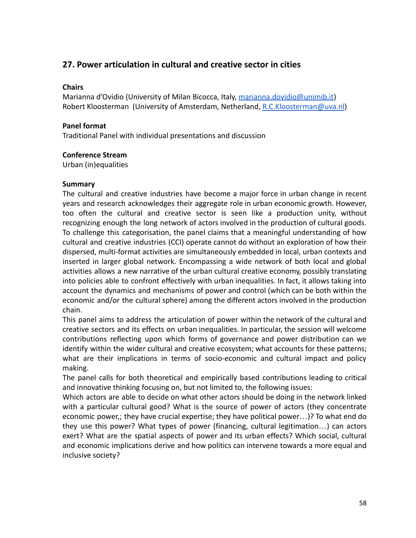# <span id="page-57-0"></span>**27. Power articulation in cultural and creative sector in cities**

# **Chairs**

Marianna d'Ovidio (University of Milan Bicocca, Italy, [marianna.dovidio@unimib.it](mailto:marianna.dovidio@unimib.it)) Robert Kloosterman (University of Amsterdam, Netherland, [R.C.Kloosterman@uva.nl](mailto:R.C.Kloosterman@uva.nl))

# **Panel format**

Traditional Panel with individual presentations and discussion

# **Conference Stream**

Urban (in)equalities

# **Summary**

The cultural and creative industries have become a major force in urban change in recent years and research acknowledges their aggregate role in urban economic growth. However, too often the cultural and creative sector is seen like a production unity, without recognizing enough the long network of actors involved in the production of cultural goods. To challenge this categorisation, the panel claims that a meaningful understanding of how cultural and creative industries (CCI) operate cannot do without an exploration of how their dispersed, multi-format activities are simultaneously embedded in local, urban contexts and inserted in larger global network. Encompassing a wide network of both local and global activities allows a new narrative of the urban cultural creative economy, possibly translating into policies able to confront effectively with urban inequalities. In fact, it allows taking into account the dynamics and mechanisms of power and control (which can be both within the economic and/or the cultural sphere) among the different actors involved in the production chain.

This panel aims to address the articulation of power within the network of the cultural and creative sectors and its effects on urban inequalities. In particular, the session will welcome contributions reflecting upon which forms of governance and power distribution can we identify within the wider cultural and creative ecosystem; what accounts for these patterns; what are their implications in terms of socio-economic and cultural impact and policy making.

The panel calls for both theoretical and empirically based contributions leading to critical and innovative thinking focusing on, but not limited to, the following issues:

Which actors are able to decide on what other actors should be doing in the network linked with a particular cultural good? What is the source of power of actors (they concentrate economic power,; they have crucial expertise; they have political power…)? To what end do they use this power? What types of power (financing, cultural legitimation…) can actors exert? What are the spatial aspects of power and its urban effects? Which social, cultural and economic implications derive and how politics can intervene towards a more equal and inclusive society?